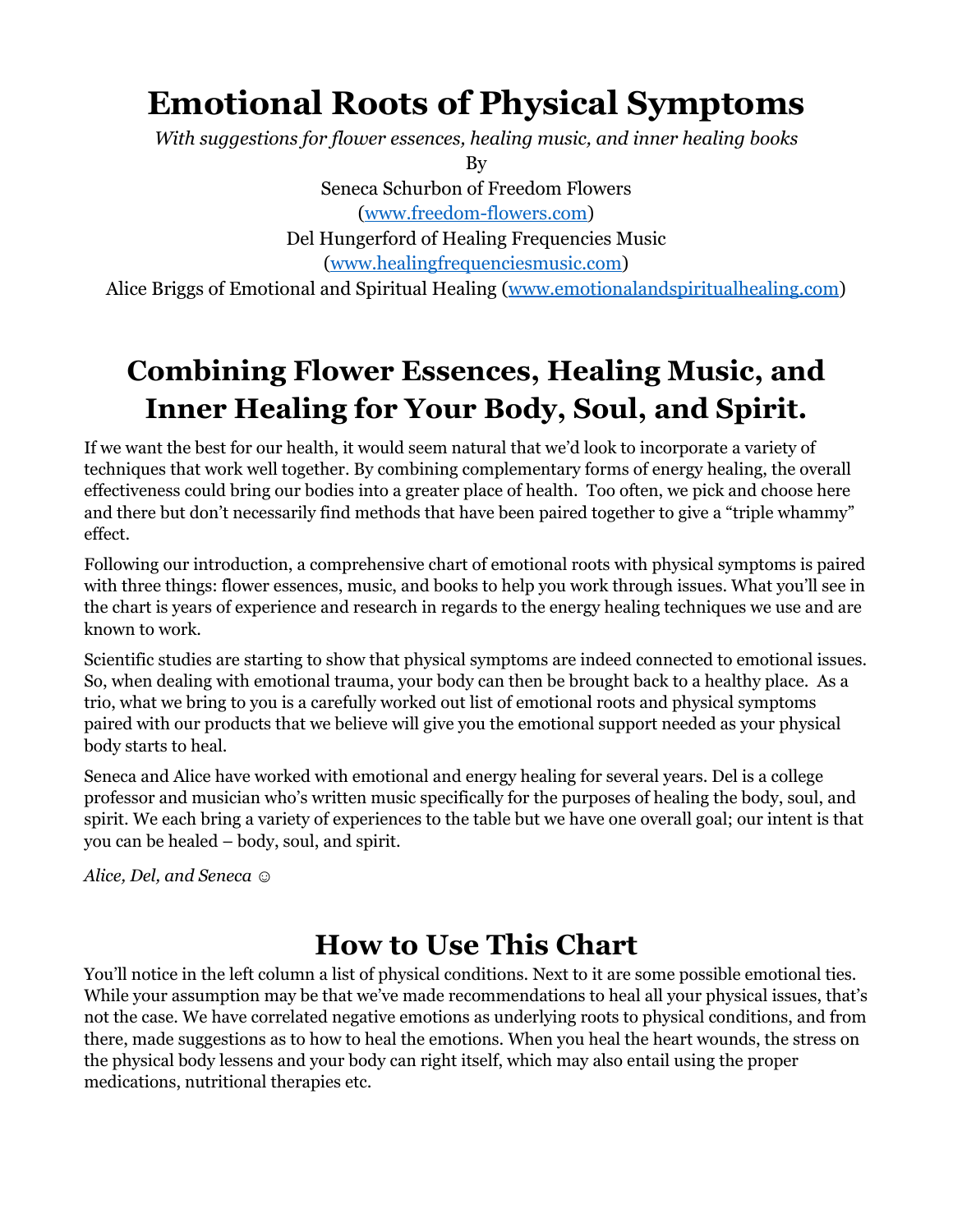# **Emotional Roots of Physical Symptoms**

*With suggestions for flower essences, healing music, and inner healing books*

By

Seneca Schurbon of Freedom Flowers ([www.freedom-flowers.com](http://www.freedom-flowers.com/?aff=7)) Del Hungerford of Healing Frequencies Music [\(www.healingfrequenciesmusic.com\)](http://www.healingfrequenciesmusic.com)

Alice Briggs of Emotional and Spiritual Healing ([www.emotionalandspiritualhealing.com](http://www.emotionalandspiritualhealing.com))

## **Combining Flower Essences, Healing Music, and Inner Healing for Your Body, Soul, and Spirit.**

If we want the best for our health, it would seem natural that we'd look to incorporate a variety of techniques that work well together. By combining complementary forms of energy healing, the overall effectiveness could bring our bodies into a greater place of health. Too often, we pick and choose here and there but don't necessarily find methods that have been paired together to give a "triple whammy" effect.

Following our introduction, a comprehensive chart of emotional roots with physical symptoms is paired with three things: flower essences, music, and books to help you work through issues. What you'll see in the chart is years of experience and research in regards to the energy healing techniques we use and are known to work.

Scientific studies are starting to show that physical symptoms are indeed connected to emotional issues. So, when dealing with emotional trauma, your body can then be brought back to a healthy place. As a trio, what we bring to you is a carefully worked out list of emotional roots and physical symptoms paired with our products that we believe will give you the emotional support needed as your physical body starts to heal.

Seneca and Alice have worked with emotional and energy healing for several years. Del is a college professor and musician who's written music specifically for the purposes of healing the body, soul, and spirit. We each bring a variety of experiences to the table but we have one overall goal; our intent is that you can be healed – body, soul, and spirit.

*Alice, Del, and Seneca* ☺

### **How to Use This Chart**

You'll notice in the left column a list of physical conditions. Next to it are some possible emotional ties. While your assumption may be that we've made recommendations to heal all your physical issues, that's not the case. We have correlated negative emotions as underlying roots to physical conditions, and from there, made suggestions as to how to heal the emotions. When you heal the heart wounds, the stress on the physical body lessens and your body can right itself, which may also entail using the proper medications, nutritional therapies etc.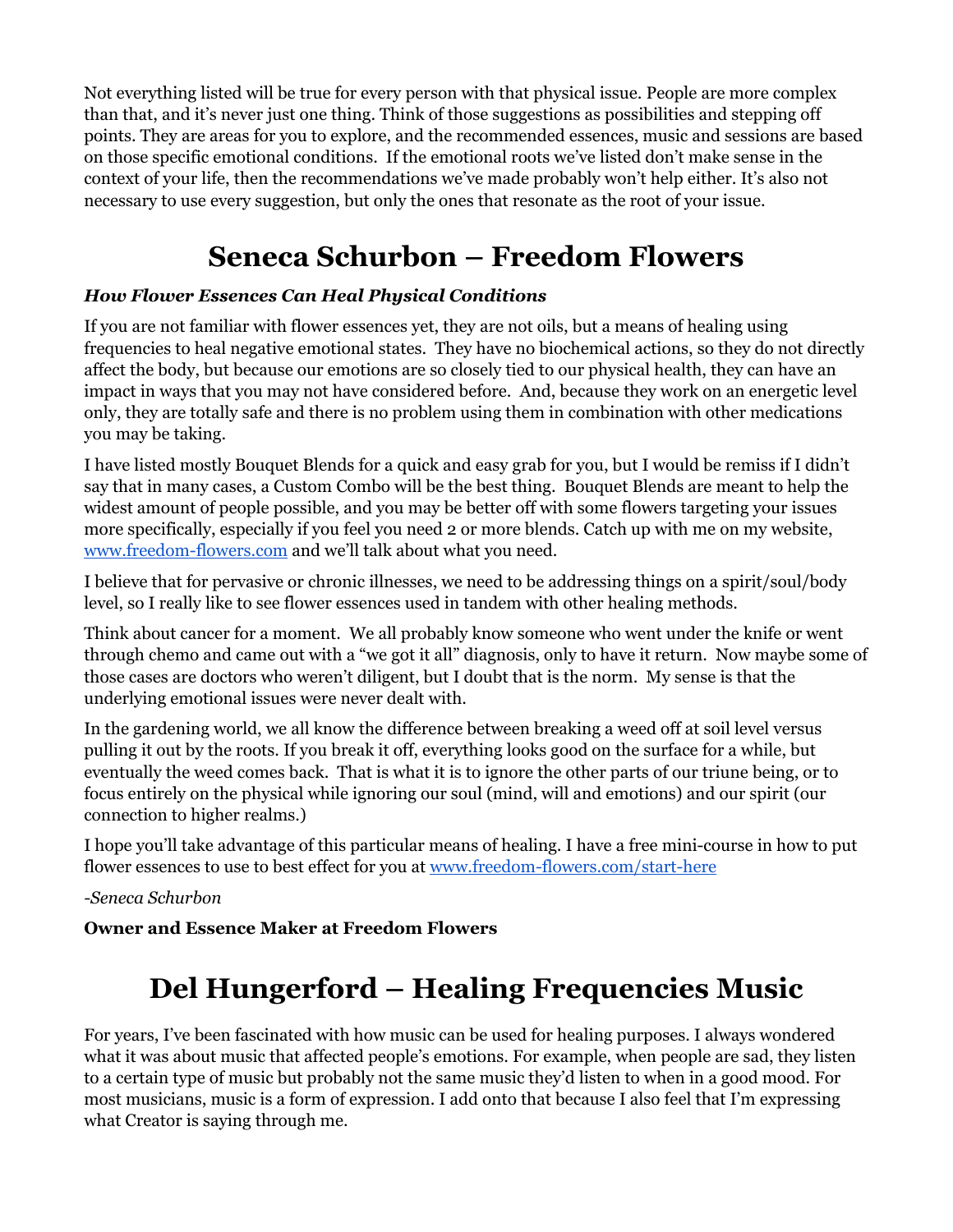Not everything listed will be true for every person with that physical issue. People are more complex than that, and it's never just one thing. Think of those suggestions as possibilities and stepping off points. They are areas for you to explore, and the recommended essences, music and sessions are based on those specific emotional conditions. If the emotional roots we've listed don't make sense in the context of your life, then the recommendations we've made probably won't help either. It's also not necessary to use every suggestion, but only the ones that resonate as the root of your issue.

### **Seneca Schurbon – Freedom Flowers**

#### *How Flower Essences Can Heal Physical Conditions*

If you are not familiar with flower essences yet, they are not oils, but a means of healing using frequencies to heal negative emotional states. They have no biochemical actions, so they do not directly affect the body, but because our emotions are so closely tied to our physical health, they can have an impact in ways that you may not have considered before. And, because they work on an energetic level only, they are totally safe and there is no problem using them in combination with other medications you may be taking.

I have listed mostly Bouquet Blends for a quick and easy grab for you, but I would be remiss if I didn't say that in many cases, a Custom Combo will be the best thing. Bouquet Blends are meant to help the widest amount of people possible, and you may be better off with some flowers targeting your issues more specifically, especially if you feel you need 2 or more blends. Catch up with me on my website, [www.freedom-flowers.com](http://www.freedom-flowers.com/?aff=7) and we'll talk about what you need.

I believe that for pervasive or chronic illnesses, we need to be addressing things on a spirit/soul/body level, so I really like to see flower essences used in tandem with other healing methods.

Think about cancer for a moment. We all probably know someone who went under the knife or went through chemo and came out with a "we got it all" diagnosis, only to have it return. Now maybe some of those cases are doctors who weren't diligent, but I doubt that is the norm. My sense is that the underlying emotional issues were never dealt with.

In the gardening world, we all know the difference between breaking a weed off at soil level versus pulling it out by the roots. If you break it off, everything looks good on the surface for a while, but eventually the weed comes back. That is what it is to ignore the other parts of our triune being, or to focus entirely on the physical while ignoring our soul (mind, will and emotions) and our spirit (our connection to higher realms.)

I hope you'll take advantage of this particular means of healing. I have a free mini-course in how to put flower essences to use to best effect for you at [www.freedom-flowers.com/start-here](http://www.freedom-flowers.com/start-here/?aff=7)

*-Seneca Schurbon*

**Owner and Essence Maker at Freedom Flowers**

### **Del Hungerford – Healing Frequencies Music**

For years, I've been fascinated with how music can be used for healing purposes. I always wondered what it was about music that affected people's emotions. For example, when people are sad, they listen to a certain type of music but probably not the same music they'd listen to when in a good mood. For most musicians, music is a form of expression. I add onto that because I also feel that I'm expressing what Creator is saying through me.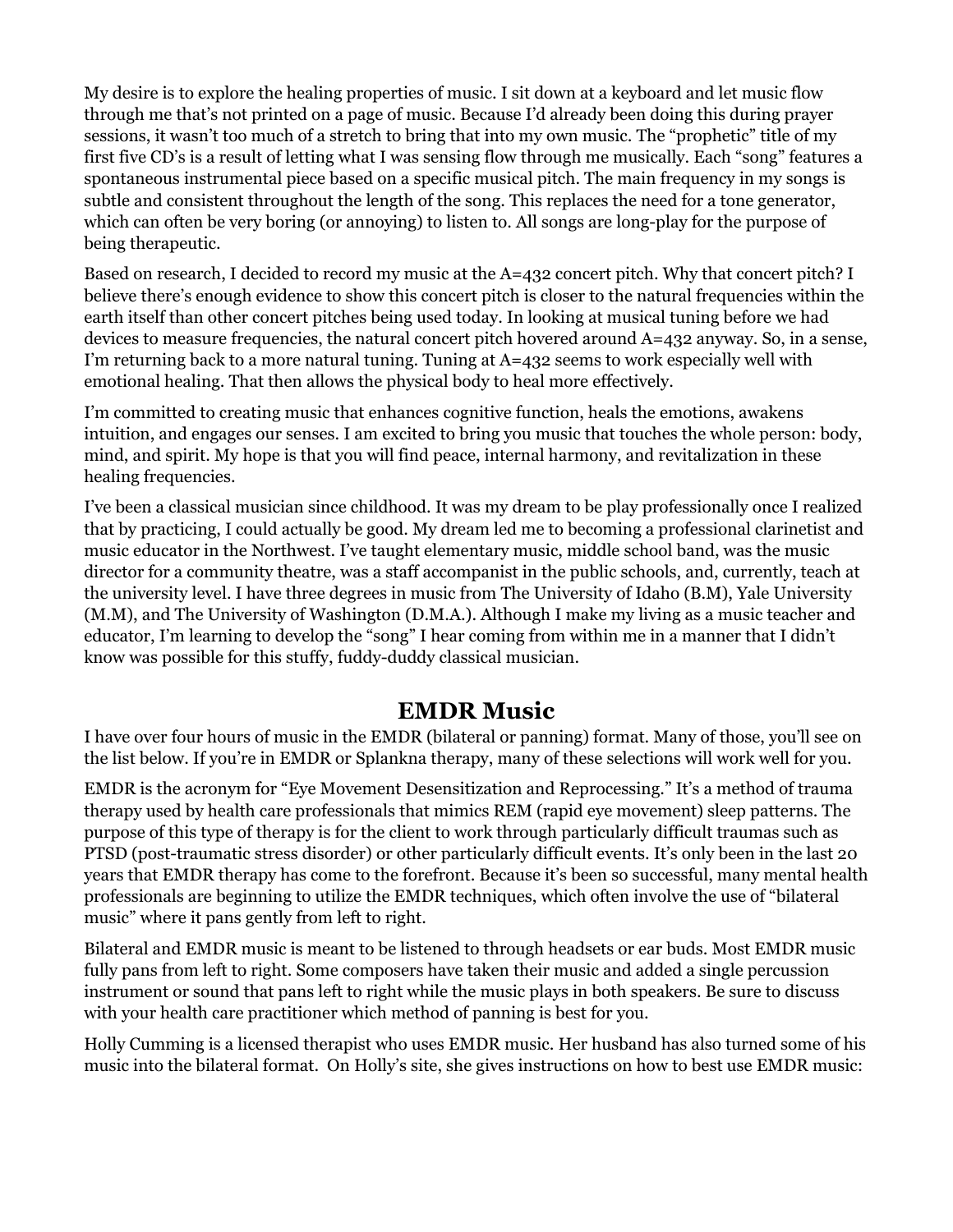My desire is to explore the healing properties of music. I sit down at a keyboard and let music flow through me that's not printed on a page of music. Because I'd already been doing this during prayer sessions, it wasn't too much of a stretch to bring that into my own music. The "prophetic" title of my first five CD's is a result of letting what I was sensing flow through me musically. Each "song" features a spontaneous instrumental piece based on a specific musical pitch. The main frequency in my songs is subtle and consistent throughout the length of the song. This replaces the need for a tone generator, which can often be very boring (or annoying) to listen to. All songs are long-play for the purpose of being therapeutic.

Based on research, I decided to record my music at the A=432 concert pitch. Why that concert pitch? I believe there's enough evidence to show this concert pitch is closer to the natural frequencies within the earth itself than other concert pitches being used today. In looking at musical tuning before we had devices to measure frequencies, the natural concert pitch hovered around A=432 anyway. So, in a sense, I'm returning back to a more natural tuning. Tuning at  $A=432$  seems to work especially well with emotional healing. That then allows the physical body to heal more effectively.

I'm committed to creating music that enhances cognitive function, heals the emotions, awakens intuition, and engages our senses. I am excited to bring you music that touches the whole person: body, mind, and spirit. My hope is that you will find peace, internal harmony, and revitalization in these healing frequencies.

I've been a classical musician since childhood. It was my dream to be play professionally once I realized that by practicing, I could actually be good. My dream led me to becoming a professional clarinetist and music educator in the Northwest. I've taught elementary music, middle school band, was the music director for a community theatre, was a staff accompanist in the public schools, and, currently, teach at the university level. I have three degrees in music from The University of Idaho (B.M), Yale University (M.M), and The University of Washington (D.M.A.). Although I make my living as a music teacher and educator, I'm learning to develop the "song" I hear coming from within me in a manner that I didn't know was possible for this stuffy, fuddy-duddy classical musician.

### **EMDR Music**

I have over four hours of music in the EMDR (bilateral or panning) format. Many of those, you'll see on the list below. If you're in EMDR or Splankna therapy, many of these selections will work well for you.

EMDR is the acronym for "Eye Movement Desensitization and Reprocessing." It's a method of trauma therapy used by health care professionals that mimics REM (rapid eye movement) sleep patterns. The purpose of this type of therapy is for the client to work through particularly difficult traumas such as PTSD (post-traumatic stress disorder) or other particularly difficult events. It's only been in the last 20 years that EMDR therapy has come to the forefront. Because it's been so successful, many mental health professionals are beginning to utilize the EMDR techniques, which often involve the use of "bilateral music" where it pans gently from left to right.

Bilateral and EMDR music is meant to be listened to through headsets or ear buds. Most EMDR music fully pans from left to right. Some composers have taken their music and added a single percussion instrument or sound that pans left to right while the music plays in both speakers. Be sure to discuss with your health care practitioner which method of panning is best for you.

Holly Cumming is a licensed therapist who uses EMDR music. Her husband has also turned some of his music into the bilateral format. On Holly's site, she gives instructions on how to best use EMDR music: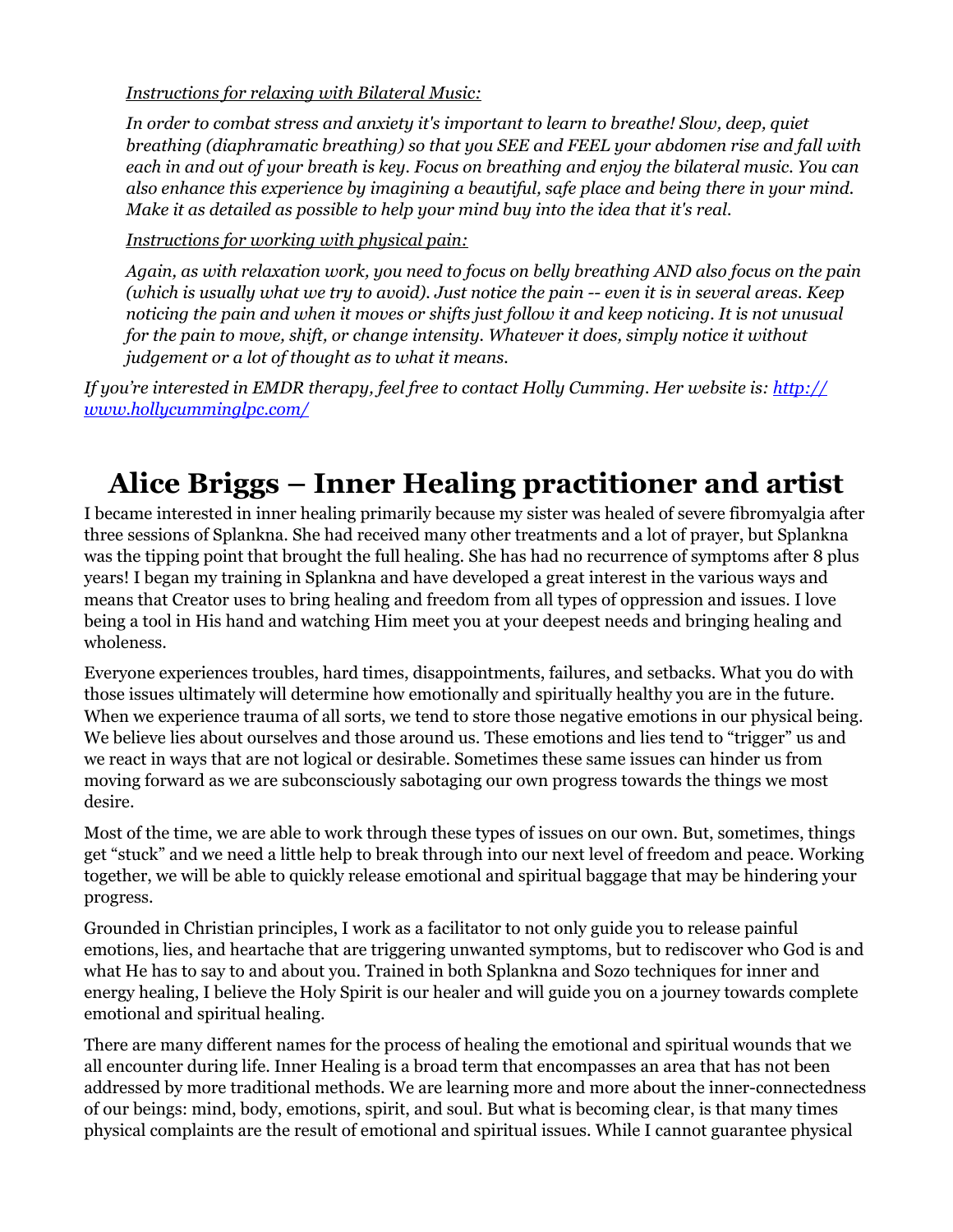*Instructions for relaxing with Bilateral Music:*

*In order to combat stress and anxiety it's important to learn to breathe! Slow, deep, quiet breathing (diaphramatic breathing) so that you SEE and FEEL your abdomen rise and fall with each in and out of your breath is key. Focus on breathing and enjoy the bilateral music. You can also enhance this experience by imagining a beautiful, safe place and being there in your mind. Make it as detailed as possible to help your mind buy into the idea that it's real.* 

*Instructions for working with physical pain:*

*Again, as with relaxation work, you need to focus on belly breathing AND also focus on the pain (which is usually what we try to avoid). Just notice the pain -- even it is in several areas. Keep noticing the pain and when it moves or shifts just follow it and keep noticing. It is not unusual for the pain to move, shift, or change intensity. Whatever it does, simply notice it without judgement or a lot of thought as to what it means.*

*If you're interested in EMDR therapy, feel free to contact Holly Cumming. Her website is[: http://](http://www.hollycumminglpc.com/) [www.hollycumminglpc.com/](http://www.hollycumminglpc.com/)*

## **Alice Briggs – Inner Healing practitioner and artist**

I became interested in inner healing primarily because my sister was healed of severe fibromyalgia after three sessions of Splankna. She had received many other treatments and a lot of prayer, but Splankna was the tipping point that brought the full healing. She has had no recurrence of symptoms after 8 plus years! I began my training in Splankna and have developed a great interest in the various ways and means that Creator uses to bring healing and freedom from all types of oppression and issues. I love being a tool in His hand and watching Him meet you at your deepest needs and bringing healing and wholeness.

Everyone experiences troubles, hard times, disappointments, failures, and setbacks. What you do with those issues ultimately will determine how emotionally and spiritually healthy you are in the future. When we experience trauma of all sorts, we tend to store those negative emotions in our physical being. We believe lies about ourselves and those around us. These emotions and lies tend to "trigger" us and we react in ways that are not logical or desirable. Sometimes these same issues can hinder us from moving forward as we are subconsciously sabotaging our own progress towards the things we most desire.

Most of the time, we are able to work through these types of issues on our own. But, sometimes, things get "stuck" and we need a little help to break through into our next level of freedom and peace. Working together, we will be able to quickly release emotional and spiritual baggage that may be hindering your progress.

Grounded in Christian principles, I work as a facilitator to not only guide you to release painful emotions, lies, and heartache that are triggering unwanted symptoms, but to rediscover who God is and what He has to say to and about you. Trained in both Splankna and Sozo techniques for inner and energy healing, I believe the Holy Spirit is our healer and will guide you on a journey towards complete emotional and spiritual healing.

There are many different names for the process of healing the emotional and spiritual wounds that we all encounter during life. Inner Healing is a broad term that encompasses an area that has not been addressed by more traditional methods. We are learning more and more about the inner-connectedness of our beings: mind, body, emotions, spirit, and soul. But what is becoming clear, is that many times physical complaints are the result of emotional and spiritual issues. While I cannot guarantee physical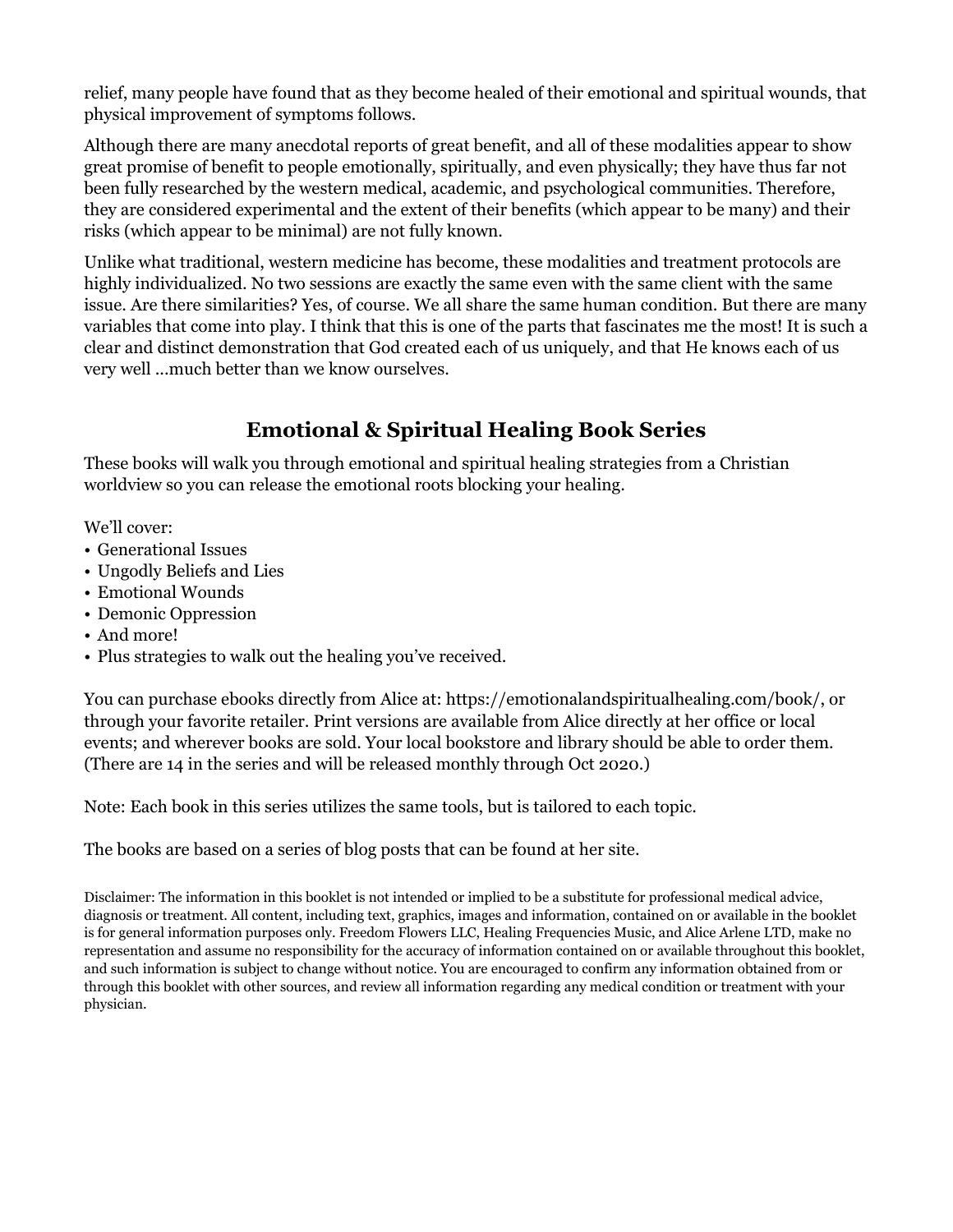relief, many people have found that as they become healed of their emotional and spiritual wounds, that physical improvement of symptoms follows.

Although there are many anecdotal reports of great benefit, and all of these modalities appear to show great promise of benefit to people emotionally, spiritually, and even physically; they have thus far not been fully researched by the western medical, academic, and psychological communities. Therefore, they are considered experimental and the extent of their benefits (which appear to be many) and their risks (which appear to be minimal) are not fully known.

Unlike what traditional, western medicine has become, these modalities and treatment protocols are highly individualized. No two sessions are exactly the same even with the same client with the same issue. Are there similarities? Yes, of course. We all share the same human condition. But there are many variables that come into play. I think that this is one of the parts that fascinates me the most! It is such a clear and distinct demonstration that God created each of us uniquely, and that He knows each of us very well ...much better than we know ourselves.

### **Emotional & Spiritual Healing Book Series**

These books will walk you through emotional and spiritual healing strategies from a Christian worldview so you can release the emotional roots blocking your healing.

We'll cover:

- Generational Issues
- Ungodly Beliefs and Lies
- Emotional Wounds
- Demonic Oppression
- And more!
- Plus strategies to walk out the healing you've received.

You can purchase ebooks directly from Alice at: https://emotionalandspiritualhealing.com/book/, or through your favorite retailer. Print versions are available from Alice directly at her office or local events; and wherever books are sold. Your local bookstore and library should be able to order them. (There are 14 in the series and will be released monthly through Oct 2020.)

Note: Each book in this series utilizes the same tools, but is tailored to each topic.

The books are based on a series of blog posts that can be found at her site.

Disclaimer: The information in this booklet is not intended or implied to be a substitute for professional medical advice, diagnosis or treatment. All content, including text, graphics, images and information, contained on or available in the booklet is for general information purposes only. Freedom Flowers LLC, Healing Frequencies Music, and Alice Arlene LTD, make no representation and assume no responsibility for the accuracy of information contained on or available throughout this booklet, and such information is subject to change without notice. You are encouraged to confirm any information obtained from or through this booklet with other sources, and review all information regarding any medical condition or treatment with your physician.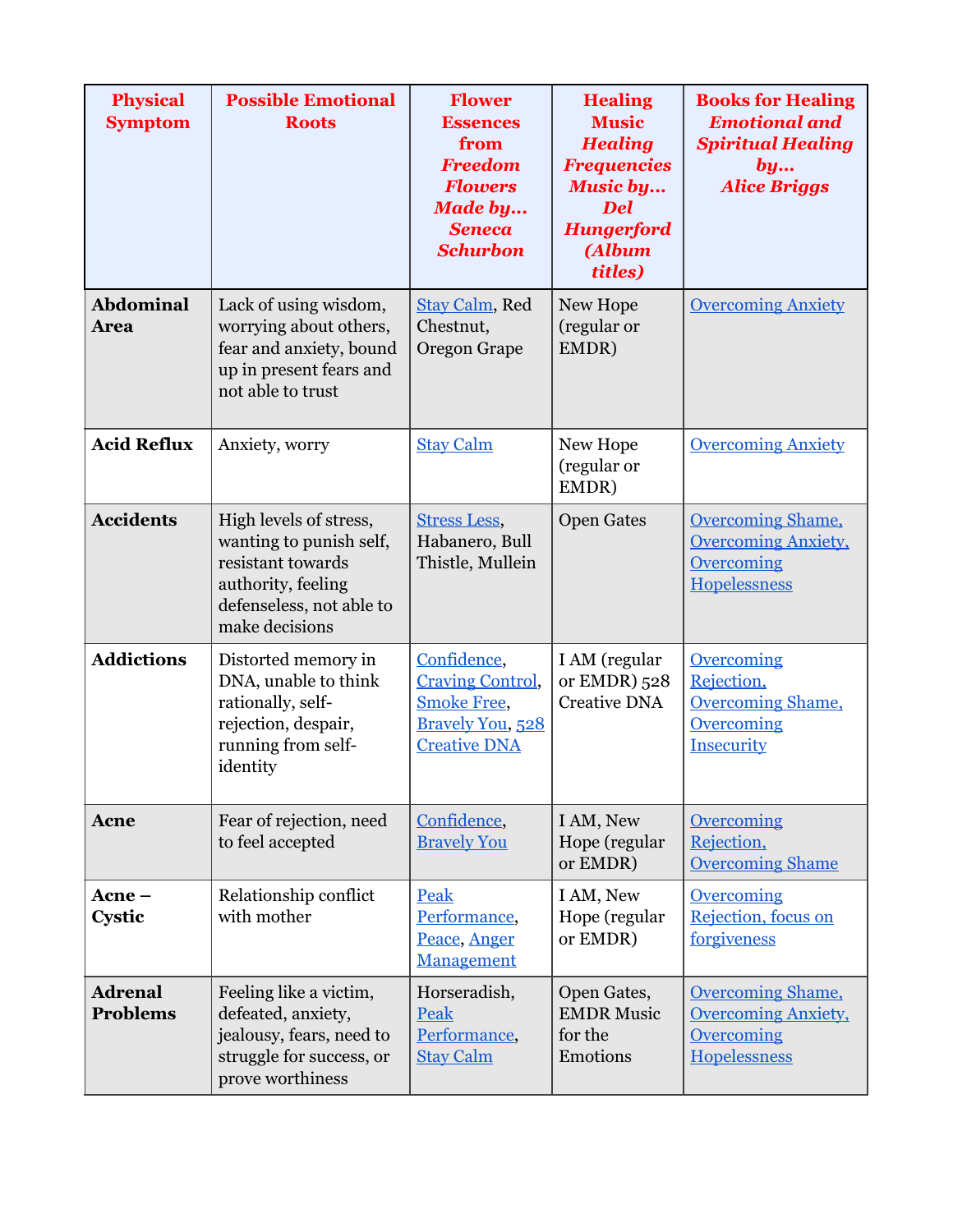| <b>Physical</b><br><b>Symptom</b> | <b>Possible Emotional</b><br><b>Roots</b>                                                                                                  | <b>Flower</b><br><b>Essences</b><br>from<br><b>Freedom</b><br><b>Flowers</b><br><b>Made by</b><br><b>Seneca</b><br><b>Schurbon</b> | <b>Healing</b><br><b>Music</b><br><b>Healing</b><br><b>Frequencies</b><br><b>Music by</b><br><b>Del</b><br><b>Hungerford</b><br><b>(Album</b><br>titles) | <b>Books for Healing</b><br><b>Emotional and</b><br><b>Spiritual Healing</b><br>by<br><b>Alice Briggs</b> |
|-----------------------------------|--------------------------------------------------------------------------------------------------------------------------------------------|------------------------------------------------------------------------------------------------------------------------------------|----------------------------------------------------------------------------------------------------------------------------------------------------------|-----------------------------------------------------------------------------------------------------------|
| <b>Abdominal</b><br><b>Area</b>   | Lack of using wisdom,<br>worrying about others,<br>fear and anxiety, bound<br>up in present fears and<br>not able to trust                 | <b>Stay Calm, Red</b><br>Chestnut,<br><b>Oregon Grape</b>                                                                          | New Hope<br>(regular or<br>EMDR)                                                                                                                         | <b>Overcoming Anxiety</b>                                                                                 |
| <b>Acid Reflux</b>                | Anxiety, worry                                                                                                                             | <b>Stay Calm</b>                                                                                                                   | New Hope<br>(regular or<br>EMDR)                                                                                                                         | <b>Overcoming Anxiety</b>                                                                                 |
| <b>Accidents</b>                  | High levels of stress,<br>wanting to punish self,<br>resistant towards<br>authority, feeling<br>defenseless, not able to<br>make decisions | <b>Stress Less,</b><br>Habanero, Bull<br>Thistle, Mullein                                                                          | <b>Open Gates</b>                                                                                                                                        | <b>Overcoming Shame,</b><br><b>Overcoming Anxiety,</b><br><b>Overcoming</b><br>Hopelessness               |
| <b>Addictions</b>                 | Distorted memory in<br>DNA, unable to think<br>rationally, self-<br>rejection, despair,<br>running from self-<br>identity                  | Confidence,<br><b>Craving Control,</b><br><b>Smoke Free,</b><br><b>Bravely You</b> , 528<br><b>Creative DNA</b>                    | I AM (regular<br>or EMDR) 528<br><b>Creative DNA</b>                                                                                                     | Overcoming<br>Rejection,<br><b>Overcoming Shame,</b><br><b>Overcoming</b><br>Insecurity                   |
| Acne                              | Fear of rejection, need<br>to feel accepted                                                                                                | Confidence,<br><b>Bravely You</b>                                                                                                  | I AM, New<br>Hope (regular<br>or EMDR)                                                                                                                   | Overcoming<br>Rejection,<br><b>Overcoming Shame</b>                                                       |
| $A$ cne –<br>Cystic               | Relationship conflict<br>with mother                                                                                                       | Peak<br>Performance,<br>Peace, Anger<br>Management                                                                                 | I AM, New<br>Hope (regular<br>or EMDR)                                                                                                                   | Overcoming<br>Rejection, focus on<br>forgiveness                                                          |
| <b>Adrenal</b><br><b>Problems</b> | Feeling like a victim,<br>defeated, anxiety,<br>jealousy, fears, need to<br>struggle for success, or<br>prove worthiness                   | Horseradish,<br>Peak<br>Performance,<br><b>Stay Calm</b>                                                                           | Open Gates,<br><b>EMDR Music</b><br>for the<br>Emotions                                                                                                  | <b>Overcoming Shame,</b><br><b>Overcoming Anxiety,</b><br><b>Overcoming</b><br>Hopelessness               |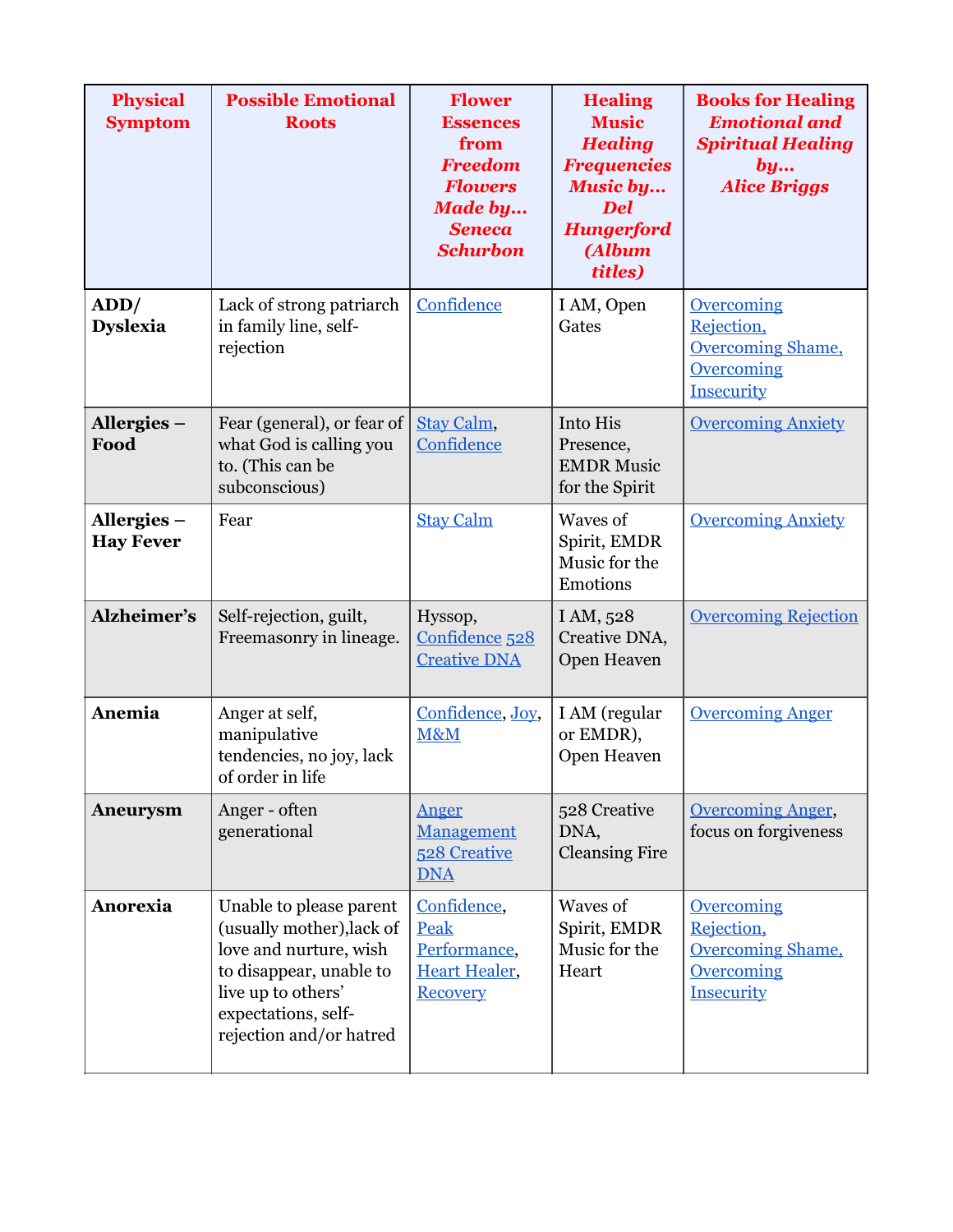| <b>Physical</b><br><b>Symptom</b> | <b>Possible Emotional</b><br><b>Roots</b>                                                                                                                                         | <b>Flower</b><br><b>Essences</b><br>from<br><b>Freedom</b><br><b>Flowers</b><br><b>Made by</b><br><b>Seneca</b><br><b>Schurbon</b> | <b>Healing</b><br><b>Music</b><br><b>Healing</b><br><b>Frequencies</b><br><b>Music by</b><br><b>Del</b><br><b>Hungerford</b><br><b>(Album</b><br>titles) | <b>Books for Healing</b><br><b>Emotional and</b><br><b>Spiritual Healing</b><br>by<br><b>Alice Briggs</b> |
|-----------------------------------|-----------------------------------------------------------------------------------------------------------------------------------------------------------------------------------|------------------------------------------------------------------------------------------------------------------------------------|----------------------------------------------------------------------------------------------------------------------------------------------------------|-----------------------------------------------------------------------------------------------------------|
| ADD/<br><b>Dyslexia</b>           | Lack of strong patriarch<br>in family line, self-<br>rejection                                                                                                                    | Confidence                                                                                                                         | I AM, Open<br>Gates                                                                                                                                      | <b>Overcoming</b><br>Rejection,<br><b>Overcoming Shame,</b><br><b>Overcoming</b><br><b>Insecurity</b>     |
| Allergies -<br>Food               | Fear (general), or fear of<br>what God is calling you<br>to. (This can be<br>subconscious)                                                                                        | Stay Calm,<br>Confidence                                                                                                           | Into His<br>Presence,<br><b>EMDR Music</b><br>for the Spirit                                                                                             | <b>Overcoming Anxiety</b>                                                                                 |
| Allergies-<br><b>Hay Fever</b>    | Fear                                                                                                                                                                              | <b>Stay Calm</b>                                                                                                                   | Waves of<br>Spirit, EMDR<br>Music for the<br>Emotions                                                                                                    | <b>Overcoming Anxiety</b>                                                                                 |
| Alzheimer's                       | Self-rejection, guilt,<br>Freemasonry in lineage.                                                                                                                                 | Hyssop,<br>Confidence 528<br><b>Creative DNA</b>                                                                                   | I AM, 528<br>Creative DNA,<br>Open Heaven                                                                                                                | <b>Overcoming Rejection</b>                                                                               |
| Anemia                            | Anger at self,<br>manipulative<br>tendencies, no joy, lack<br>of order in life                                                                                                    | Confidence, Joy,<br>M&M                                                                                                            | I AM (regular<br>or EMDR),<br>Open Heaven                                                                                                                | <b>Overcoming Anger</b>                                                                                   |
| Aneurysm                          | Anger - often<br>generational                                                                                                                                                     | Anger<br>Management<br>528 Creative<br><b>DNA</b>                                                                                  | 528 Creative<br>DNA,<br><b>Cleansing Fire</b>                                                                                                            | <b>Overcoming Anger,</b><br>focus on forgiveness                                                          |
| Anorexia                          | Unable to please parent<br>(usually mother), lack of<br>love and nurture, wish<br>to disappear, unable to<br>live up to others'<br>expectations, self-<br>rejection and/or hatred | Confidence,<br>Peak<br>Performance,<br><b>Heart Healer,</b><br><b>Recovery</b>                                                     | Waves of<br>Spirit, EMDR<br>Music for the<br>Heart                                                                                                       | Overcoming<br>Rejection,<br><b>Overcoming Shame,</b><br>Overcoming<br>Insecurity                          |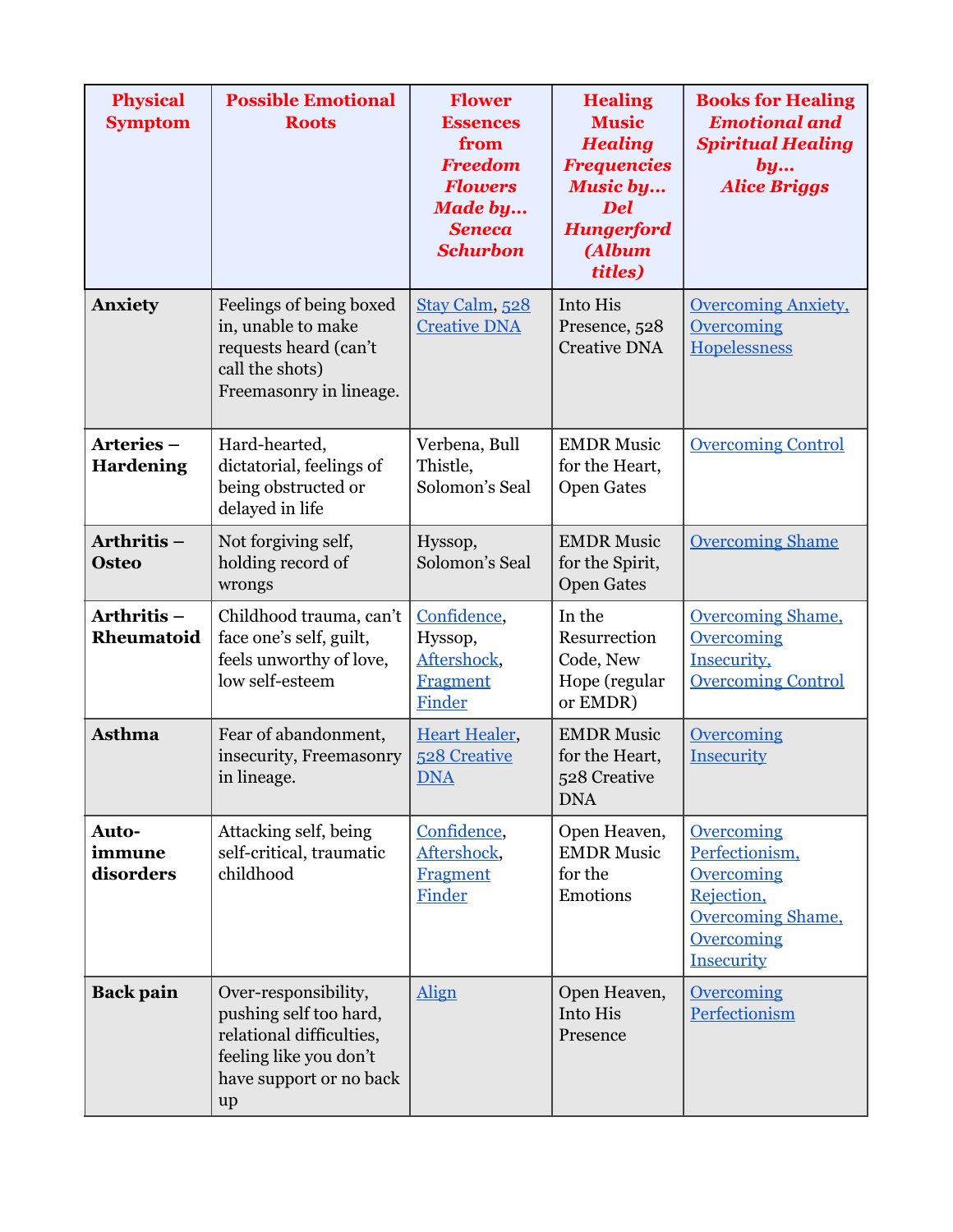| <b>Physical</b><br><b>Symptom</b> | <b>Possible Emotional</b><br><b>Roots</b>                                                                                             | <b>Flower</b><br><b>Essences</b><br>from<br><b>Freedom</b><br><b>Flowers</b><br><b>Made by</b><br><b>Seneca</b><br><b>Schurbon</b> | <b>Healing</b><br><b>Music</b><br><b>Healing</b><br><b>Frequencies</b><br><b>Music by</b><br><b>Del</b><br><b>Hungerford</b><br>(Album<br>titles) | <b>Books for Healing</b><br><b>Emotional and</b><br><b>Spiritual Healing</b><br>by<br><b>Alice Briggs</b>                             |
|-----------------------------------|---------------------------------------------------------------------------------------------------------------------------------------|------------------------------------------------------------------------------------------------------------------------------------|---------------------------------------------------------------------------------------------------------------------------------------------------|---------------------------------------------------------------------------------------------------------------------------------------|
| <b>Anxiety</b>                    | Feelings of being boxed<br>in, unable to make<br>requests heard (can't<br>call the shots)<br>Freemasonry in lineage.                  | Stay Calm, 528<br><b>Creative DNA</b>                                                                                              | Into His<br>Presence, 528<br><b>Creative DNA</b>                                                                                                  | <b>Overcoming Anxiety,</b><br><b>Overcoming</b><br>Hopelessness                                                                       |
| Arteries-<br><b>Hardening</b>     | Hard-hearted,<br>dictatorial, feelings of<br>being obstructed or<br>delayed in life                                                   | Verbena, Bull<br>Thistle,<br>Solomon's Seal                                                                                        | <b>EMDR Music</b><br>for the Heart,<br><b>Open Gates</b>                                                                                          | <b>Overcoming Control</b>                                                                                                             |
| Arthritis-<br><b>Osteo</b>        | Not forgiving self,<br>holding record of<br>wrongs                                                                                    | Hyssop,<br>Solomon's Seal                                                                                                          | <b>EMDR Music</b><br>for the Spirit,<br><b>Open Gates</b>                                                                                         | <b>Overcoming Shame</b>                                                                                                               |
| Arthritis-<br>Rheumatoid          | Childhood trauma, can't<br>face one's self, guilt,<br>feels unworthy of love,<br>low self-esteem                                      | Confidence,<br>Hyssop,<br>Aftershock,<br><b>Fragment</b><br>Finder                                                                 | In the<br>Resurrection<br>Code, New<br>Hope (regular<br>or EMDR)                                                                                  | <b>Overcoming Shame,</b><br>Overcoming<br>Insecurity,<br><b>Overcoming Control</b>                                                    |
| <b>Asthma</b>                     | Fear of abandonment,<br>insecurity, Freemasonry<br>in lineage.                                                                        | <b>Heart Healer,</b><br><b>528 Creative</b><br><b>DNA</b>                                                                          | <b>EMDR Music</b><br>for the Heart,<br>528 Creative<br><b>DNA</b>                                                                                 | Overcoming<br>Insecurity                                                                                                              |
| Auto-<br>immune<br>disorders      | Attacking self, being<br>self-critical, traumatic<br>childhood                                                                        | Confidence,<br>Aftershock,<br><b>Fragment</b><br>Finder                                                                            | Open Heaven,<br><b>EMDR Music</b><br>for the<br>Emotions                                                                                          | <b>Overcoming</b><br>Perfectionism,<br><b>Overcoming</b><br>Rejection,<br><b>Overcoming Shame,</b><br><b>Overcoming</b><br>Insecurity |
| <b>Back pain</b>                  | Over-responsibility,<br>pushing self too hard,<br>relational difficulties,<br>feeling like you don't<br>have support or no back<br>up | Align                                                                                                                              | Open Heaven,<br>Into His<br>Presence                                                                                                              | <b>Overcoming</b><br>Perfectionism                                                                                                    |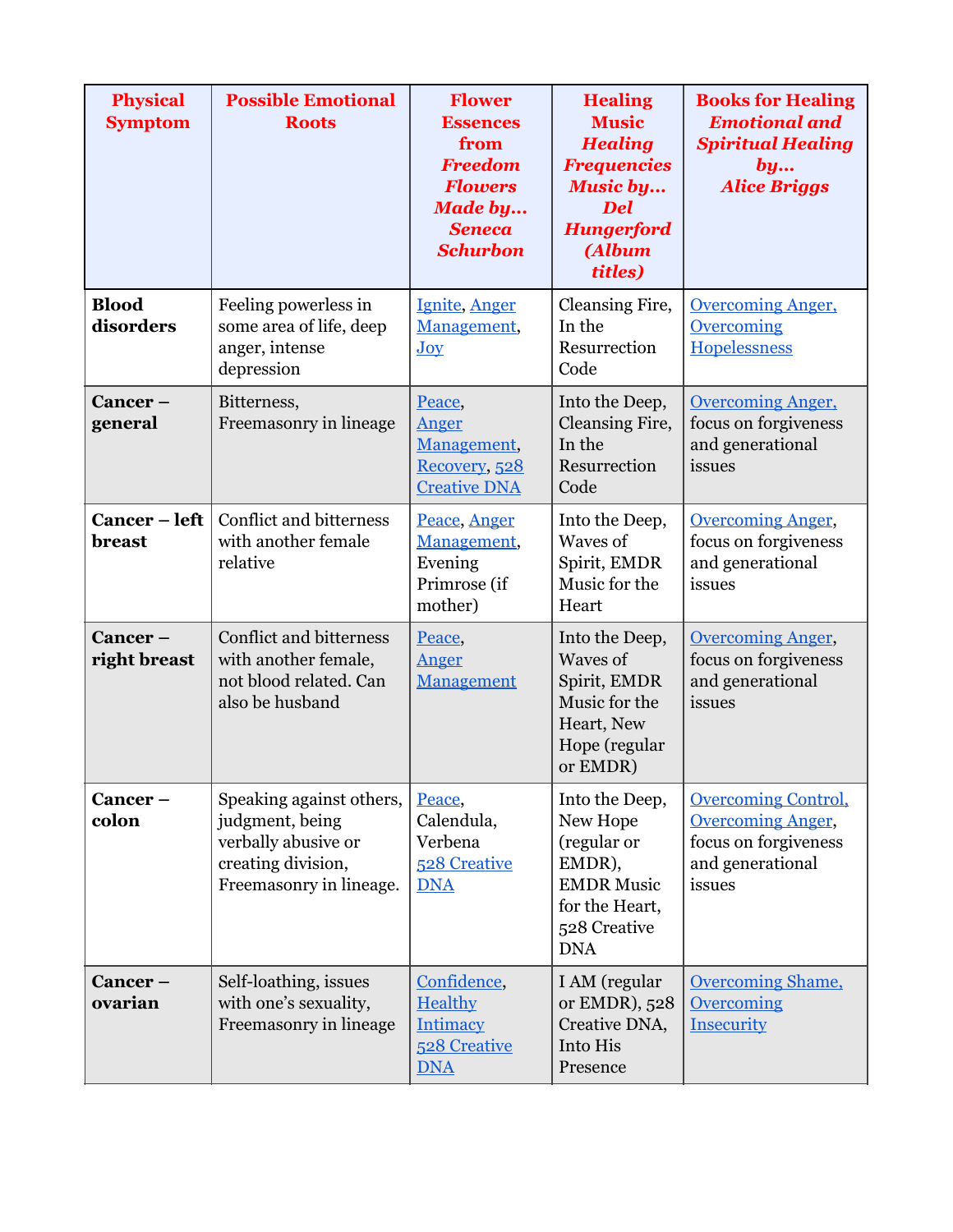| <b>Physical</b><br><b>Symptom</b> | <b>Possible Emotional</b><br><b>Roots</b>                                                                           | <b>Flower</b><br><b>Essences</b><br>from<br><b>Freedom</b><br><b>Flowers</b><br><b>Made by</b><br><b>Seneca</b><br><b>Schurbon</b> | <b>Healing</b><br><b>Music</b><br><b>Healing</b><br><b>Frequencies</b><br><b>Music by</b><br><b>Del</b><br><b>Hungerford</b><br>(Album<br>titles) | <b>Books for Healing</b><br><b>Emotional and</b><br><b>Spiritual Healing</b><br>by<br><b>Alice Briggs</b>    |
|-----------------------------------|---------------------------------------------------------------------------------------------------------------------|------------------------------------------------------------------------------------------------------------------------------------|---------------------------------------------------------------------------------------------------------------------------------------------------|--------------------------------------------------------------------------------------------------------------|
| <b>Blood</b><br>disorders         | Feeling powerless in<br>some area of life, deep<br>anger, intense<br>depression                                     | Ignite, Anger<br>Management,<br>Joy                                                                                                | Cleansing Fire,<br>In the<br>Resurrection<br>Code                                                                                                 | <b>Overcoming Anger,</b><br><b>Overcoming</b><br><b>Hopelessness</b>                                         |
| Cancer-<br>general                | Bitterness,<br>Freemasonry in lineage                                                                               | Peace,<br>Anger<br>Management,<br>Recovery, 528<br><b>Creative DNA</b>                                                             | Into the Deep,<br>Cleansing Fire,<br>In the<br>Resurrection<br>Code                                                                               | <b>Overcoming Anger,</b><br>focus on forgiveness<br>and generational<br>issues                               |
| Cancer – left<br>breast           | <b>Conflict and bitterness</b><br>with another female<br>relative                                                   | Peace, Anger<br>Management,<br>Evening<br>Primrose (if<br>mother)                                                                  | Into the Deep,<br>Waves of<br>Spirit, EMDR<br>Music for the<br>Heart                                                                              | <b>Overcoming Anger,</b><br>focus on forgiveness<br>and generational<br>issues                               |
| Cancer-<br>right breast           | <b>Conflict and bitterness</b><br>with another female,<br>not blood related. Can<br>also be husband                 | Peace,<br>Anger<br>Management                                                                                                      | Into the Deep,<br>Waves of<br>Spirit, EMDR<br>Music for the<br>Heart, New<br>Hope (regular<br>or EMDR)                                            | <b>Overcoming Anger,</b><br>focus on forgiveness<br>and generational<br>issues                               |
| Cancer-<br>colon                  | Speaking against others,<br>judgment, being<br>verbally abusive or<br>creating division,<br>Freemasonry in lineage. | Peace,<br>Calendula,<br>Verbena<br>528 Creative<br><b>DNA</b>                                                                      | Into the Deep,<br>New Hope<br>(regular or<br>EMDR),<br><b>EMDR Music</b><br>for the Heart,<br>528 Creative<br><b>DNA</b>                          | <b>Overcoming Control,</b><br><b>Overcoming Anger,</b><br>focus on forgiveness<br>and generational<br>issues |
| Cancer-<br>ovarian                | Self-loathing, issues<br>with one's sexuality,<br>Freemasonry in lineage                                            | Confidence,<br><b>Healthy</b><br><b>Intimacy</b><br>528 Creative<br><b>DNA</b>                                                     | I AM (regular<br>or EMDR), 528<br>Creative DNA,<br>Into His<br>Presence                                                                           | <b>Overcoming Shame,</b><br><b>Overcoming</b><br>Insecurity                                                  |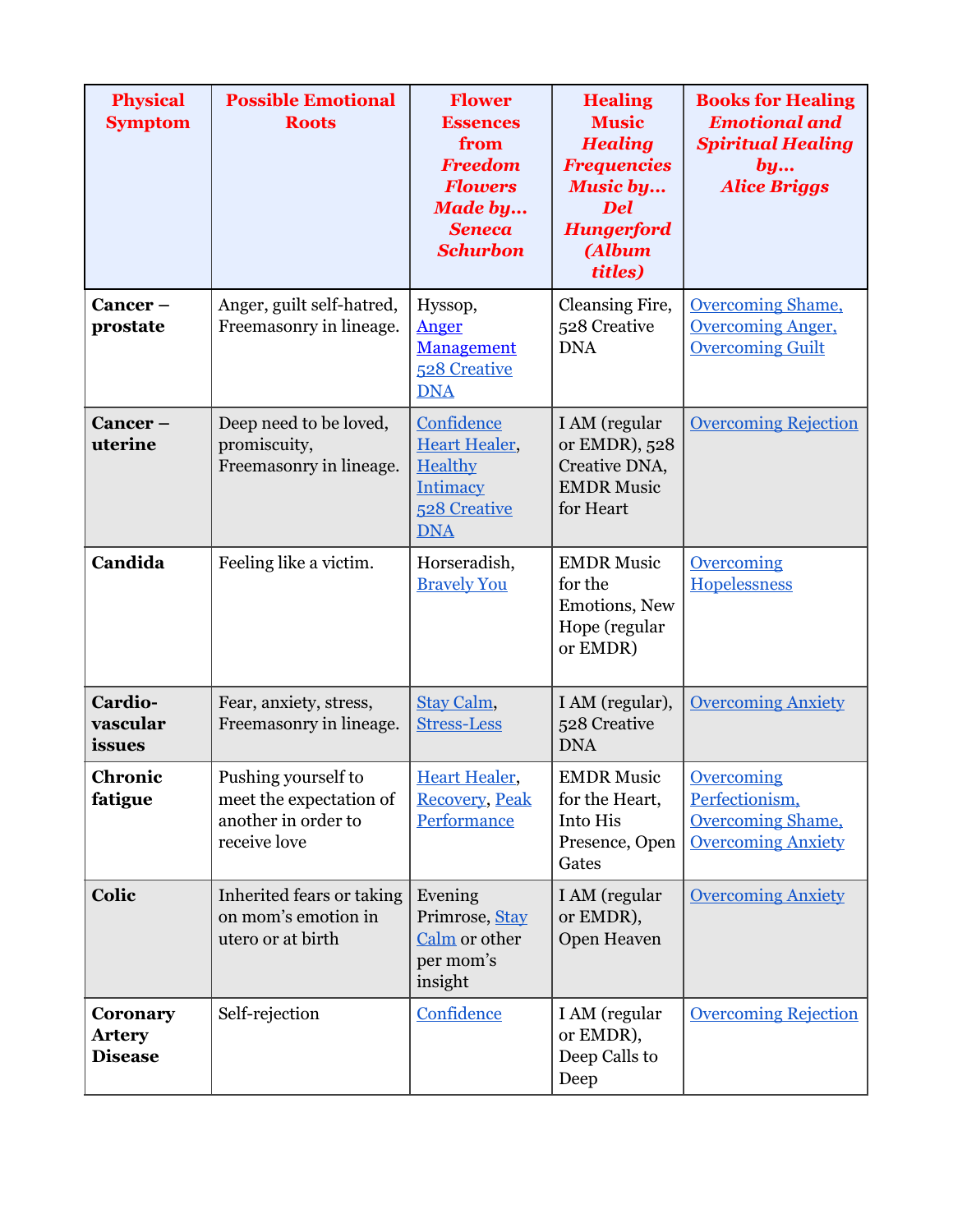| <b>Physical</b><br><b>Symptom</b>           | <b>Possible Emotional</b><br><b>Roots</b>                                             | <b>Flower</b><br><b>Essences</b><br>from<br><b>Freedom</b><br><b>Flowers</b><br><b>Made by</b><br><b>Seneca</b><br><b>Schurbon</b> | <b>Healing</b><br><b>Music</b><br><b>Healing</b><br><b>Frequencies</b><br><b>Music by</b><br><b>Del</b><br><b>Hungerford</b><br><b>(Album</b><br>titles) | <b>Books for Healing</b><br><b>Emotional and</b><br><b>Spiritual Healing</b><br>by<br><b>Alice Briggs</b> |
|---------------------------------------------|---------------------------------------------------------------------------------------|------------------------------------------------------------------------------------------------------------------------------------|----------------------------------------------------------------------------------------------------------------------------------------------------------|-----------------------------------------------------------------------------------------------------------|
| Cancer-<br>prostate                         | Anger, guilt self-hatred,<br>Freemasonry in lineage.                                  | Hyssop,<br>Anger<br>Management<br>528 Creative<br><b>DNA</b>                                                                       | Cleansing Fire,<br>528 Creative<br><b>DNA</b>                                                                                                            | <b>Overcoming Shame,</b><br><b>Overcoming Anger,</b><br><b>Overcoming Guilt</b>                           |
| Cancer-<br>uterine                          | Deep need to be loved,<br>promiscuity,<br>Freemasonry in lineage.                     | Confidence<br><b>Heart Healer,</b><br>Healthy<br>Intimacy<br>528 Creative<br><b>DNA</b>                                            | I AM (regular<br>or EMDR), 528<br>Creative DNA,<br><b>EMDR Music</b><br>for Heart                                                                        | <b>Overcoming Rejection</b>                                                                               |
| Candida                                     | Feeling like a victim.                                                                | Horseradish,<br><b>Bravely You</b>                                                                                                 | <b>EMDR Music</b><br>for the<br>Emotions, New<br>Hope (regular<br>or EMDR)                                                                               | <b>Overcoming</b><br>Hopelessness                                                                         |
| Cardio-<br>vascular<br>issues               | Fear, anxiety, stress,<br>Freemasonry in lineage.                                     | Stay Calm,<br><b>Stress-Less</b>                                                                                                   | I AM (regular),<br>528 Creative<br><b>DNA</b>                                                                                                            | <b>Overcoming Anxiety</b>                                                                                 |
| Chronic<br>fatigue                          | Pushing yourself to<br>meet the expectation of<br>another in order to<br>receive love | <b>Heart Healer,</b><br><b>Recovery, Peak</b><br>Performance                                                                       | <b>EMDR Music</b><br>for the Heart,<br>Into His<br>Presence, Open<br>Gates                                                                               | <b>Overcoming</b><br>Perfectionism,<br><b>Overcoming Shame,</b><br><b>Overcoming Anxiety</b>              |
| Colic                                       | Inherited fears or taking<br>on mom's emotion in<br>utero or at birth                 | Evening<br>Primrose, Stay<br>Calm or other<br>per mom's<br>insight                                                                 | I AM (regular<br>or EMDR),<br>Open Heaven                                                                                                                | <b>Overcoming Anxiety</b>                                                                                 |
| Coronary<br><b>Artery</b><br><b>Disease</b> | Self-rejection                                                                        | Confidence                                                                                                                         | I AM (regular<br>or EMDR),<br>Deep Calls to<br>Deep                                                                                                      | <b>Overcoming Rejection</b>                                                                               |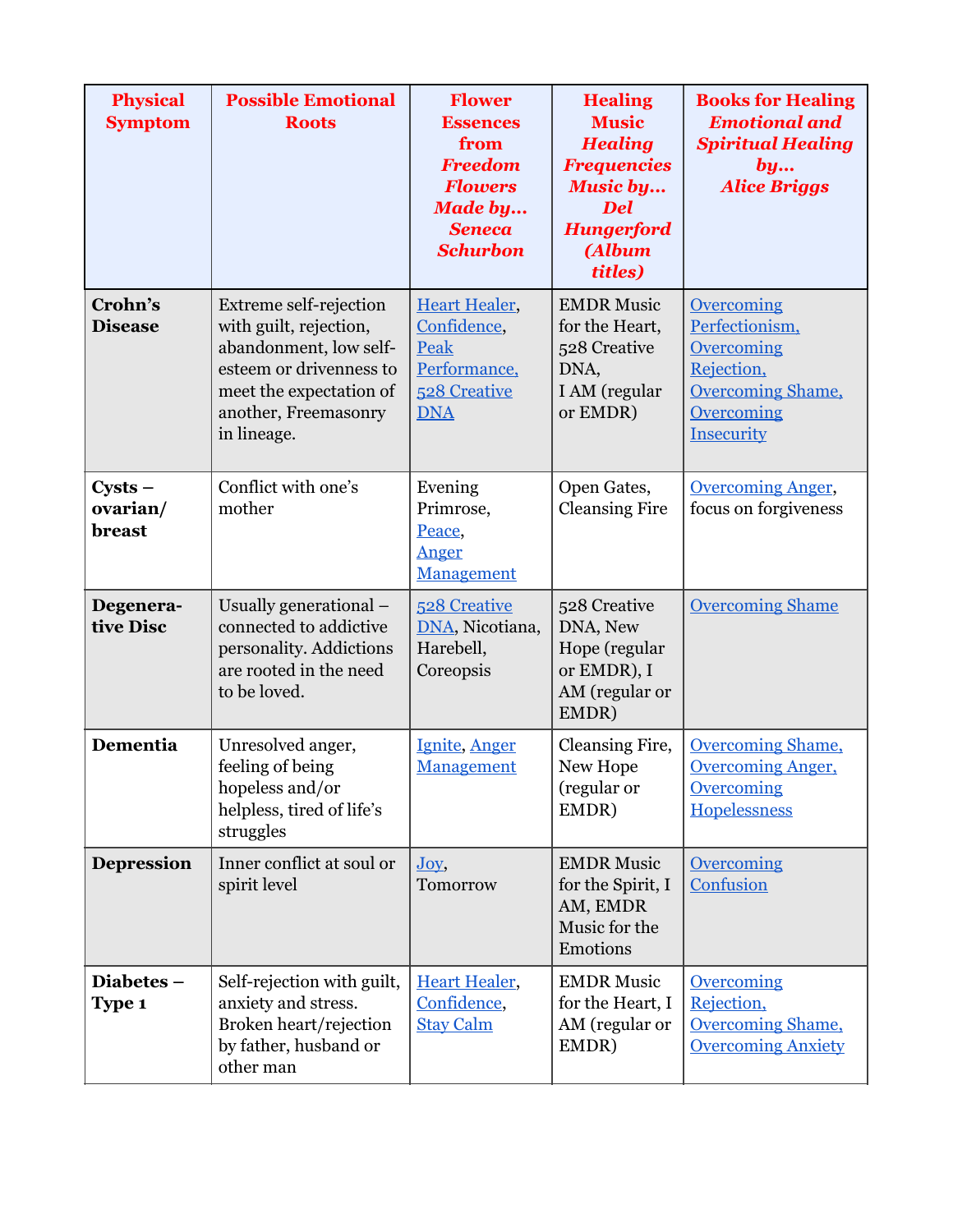| <b>Physical</b><br><b>Symptom</b> | <b>Possible Emotional</b><br><b>Roots</b>                                                                                                                               | <b>Flower</b><br><b>Essences</b><br>from<br><b>Freedom</b><br><b>Flowers</b><br><b>Made by</b><br><b>Seneca</b><br><b>Schurbon</b> | <b>Healing</b><br><b>Music</b><br><b>Healing</b><br><b>Frequencies</b><br><b>Music by</b><br><b>Del</b><br><b>Hungerford</b><br>(Album<br>titles) | <b>Books for Healing</b><br><b>Emotional and</b><br><b>Spiritual Healing</b><br>by<br><b>Alice Briggs</b>        |
|-----------------------------------|-------------------------------------------------------------------------------------------------------------------------------------------------------------------------|------------------------------------------------------------------------------------------------------------------------------------|---------------------------------------------------------------------------------------------------------------------------------------------------|------------------------------------------------------------------------------------------------------------------|
| Crohn's<br><b>Disease</b>         | Extreme self-rejection<br>with guilt, rejection,<br>abandonment, low self-<br>esteem or drivenness to<br>meet the expectation of<br>another, Freemasonry<br>in lineage. | <b>Heart Healer,</b><br>Confidence,<br>Peak<br>Performance,<br>528 Creative<br><b>DNA</b>                                          | <b>EMDR Music</b><br>for the Heart,<br>528 Creative<br>DNA,<br>I AM (regular<br>or EMDR)                                                          | Overcoming<br>Perfectionism,<br>Overcoming<br>Rejection,<br><b>Overcoming Shame,</b><br>Overcoming<br>Insecurity |
| $Cysts -$<br>ovarian/<br>breast   | Conflict with one's<br>mother                                                                                                                                           | Evening<br>Primrose,<br>Peace,<br>Anger<br>Management                                                                              | Open Gates,<br><b>Cleansing Fire</b>                                                                                                              | <b>Overcoming Anger,</b><br>focus on forgiveness                                                                 |
| Degenera-<br>tive Disc            | Usually generational –<br>connected to addictive<br>personality. Addictions<br>are rooted in the need<br>to be loved.                                                   | 528 Creative<br>DNA, Nicotiana,<br>Harebell,<br>Coreopsis                                                                          | 528 Creative<br>DNA, New<br>Hope (regular<br>or EMDR), I<br>AM (regular or<br>EMDR)                                                               | <b>Overcoming Shame</b>                                                                                          |
| Dementia                          | Unresolved anger,<br>feeling of being<br>hopeless and/or<br>helpless, tired of life's<br>struggles                                                                      | Ignite, Anger<br>Management                                                                                                        | Cleansing Fire,<br>New Hope<br>(regular or<br>EMDR)                                                                                               | <b>Overcoming Shame,</b><br><b>Overcoming Anger,</b><br><b>Overcoming</b><br>Hopelessness                        |
| <b>Depression</b>                 | Inner conflict at soul or<br>spirit level                                                                                                                               | Joy,<br>Tomorrow                                                                                                                   | <b>EMDR Music</b><br>for the Spirit, I<br>AM, EMDR<br>Music for the<br>Emotions                                                                   | <b>Overcoming</b><br>Confusion                                                                                   |
| Diabetes-<br>Type 1               | Self-rejection with guilt,<br>anxiety and stress.<br>Broken heart/rejection<br>by father, husband or<br>other man                                                       | <b>Heart Healer,</b><br>Confidence,<br><b>Stay Calm</b>                                                                            | <b>EMDR Music</b><br>for the Heart, I<br>AM (regular or<br>EMDR)                                                                                  | <b>Overcoming</b><br>Rejection,<br><b>Overcoming Shame,</b><br><b>Overcoming Anxiety</b>                         |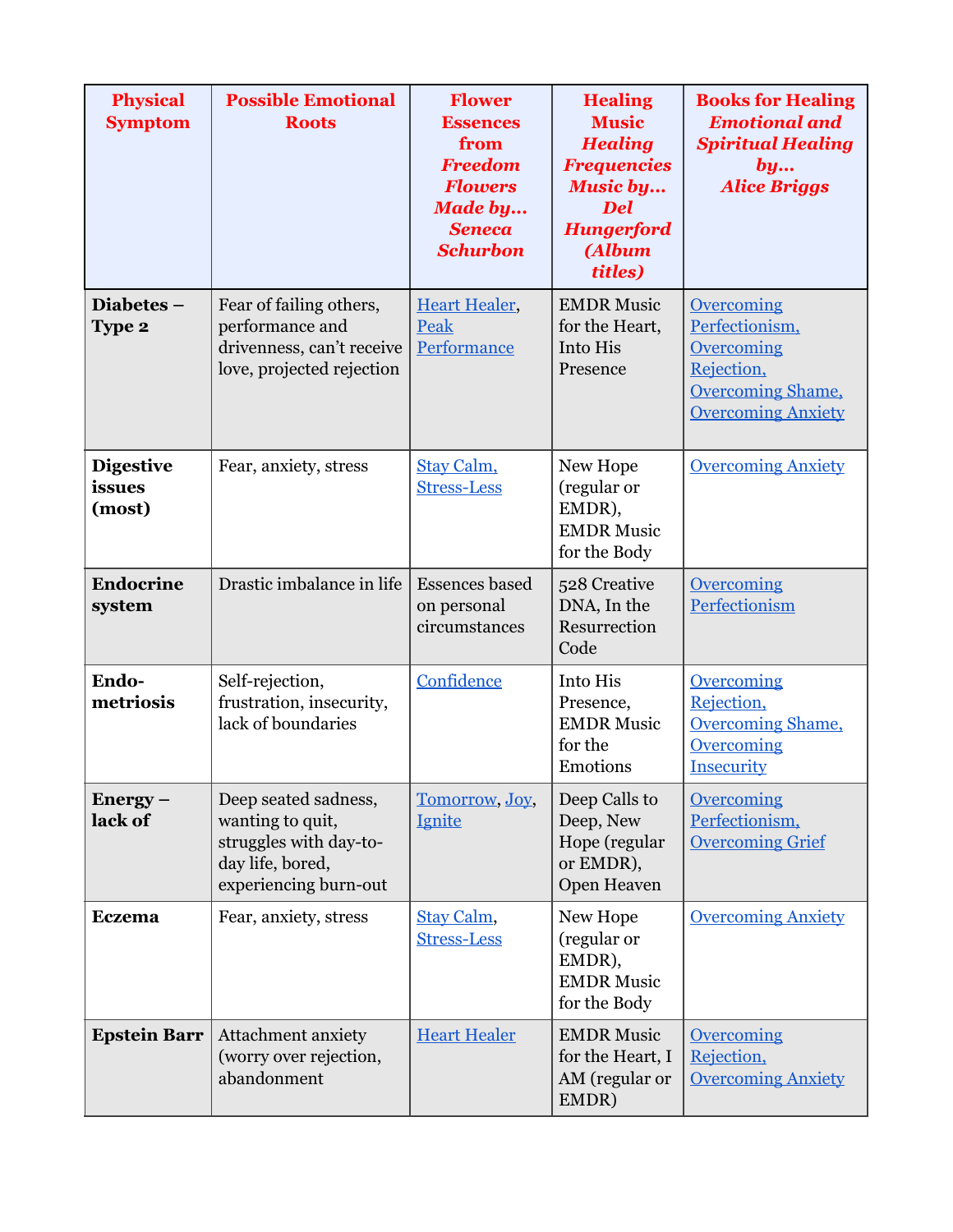| <b>Physical</b><br><b>Symptom</b>    | <b>Possible Emotional</b><br><b>Roots</b>                                                                       | <b>Flower</b><br><b>Essences</b><br>from<br><b>Freedom</b><br><b>Flowers</b><br><b>Made by</b><br><b>Seneca</b><br><b>Schurbon</b> | <b>Healing</b><br><b>Music</b><br><b>Healing</b><br><b>Frequencies</b><br><b>Music by</b><br><b>Del</b><br><b>Hungerford</b><br>(Album<br>titles) | <b>Books for Healing</b><br><b>Emotional and</b><br><b>Spiritual Healing</b><br>by<br><b>Alice Briggs</b>         |
|--------------------------------------|-----------------------------------------------------------------------------------------------------------------|------------------------------------------------------------------------------------------------------------------------------------|---------------------------------------------------------------------------------------------------------------------------------------------------|-------------------------------------------------------------------------------------------------------------------|
| Diabetes-<br>Type 2                  | Fear of failing others,<br>performance and<br>drivenness, can't receive<br>love, projected rejection            | <b>Heart Healer,</b><br>Peak<br>Performance                                                                                        | <b>EMDR Music</b><br>for the Heart,<br>Into His<br>Presence                                                                                       | Overcoming<br>Perfectionism,<br>Overcoming<br>Rejection,<br><b>Overcoming Shame,</b><br><b>Overcoming Anxiety</b> |
| <b>Digestive</b><br>issues<br>(most) | Fear, anxiety, stress                                                                                           | Stay Calm,<br><b>Stress-Less</b>                                                                                                   | New Hope<br>(regular or<br>EMDR),<br><b>EMDR Music</b><br>for the Body                                                                            | <b>Overcoming Anxiety</b>                                                                                         |
| <b>Endocrine</b><br>system           | Drastic imbalance in life                                                                                       | <b>Essences</b> based<br>on personal<br>circumstances                                                                              | 528 Creative<br>DNA, In the<br>Resurrection<br>Code                                                                                               | Overcoming<br>Perfectionism                                                                                       |
| Endo-<br>metriosis                   | Self-rejection,<br>frustration, insecurity,<br>lack of boundaries                                               | Confidence                                                                                                                         | Into His<br>Presence,<br><b>EMDR Music</b><br>for the<br>Emotions                                                                                 | <b>Overcoming</b><br>Rejection,<br><b>Overcoming Shame,</b><br><b>Overcoming</b><br>Insecurity                    |
| $Energy -$<br>lack of                | Deep seated sadness,<br>wanting to quit,<br>struggles with day-to-<br>day life, bored,<br>experiencing burn-out | Tomorrow, Joy,<br><b>Ignite</b>                                                                                                    | Deep Calls to<br>Deep, New<br>Hope (regular<br>or EMDR),<br>Open Heaven                                                                           | Overcoming<br>Perfectionism,<br><b>Overcoming Grief</b>                                                           |
| <b>Eczema</b>                        | Fear, anxiety, stress                                                                                           | Stay Calm,<br><b>Stress-Less</b>                                                                                                   | New Hope<br>(regular or<br>EMDR),<br><b>EMDR Music</b><br>for the Body                                                                            | <b>Overcoming Anxiety</b>                                                                                         |
| <b>Epstein Barr</b>                  | Attachment anxiety<br>(worry over rejection,<br>abandonment                                                     | <b>Heart Healer</b>                                                                                                                | <b>EMDR Music</b><br>for the Heart, I<br>AM (regular or<br>EMDR)                                                                                  | <b>Overcoming</b><br>Rejection,<br><b>Overcoming Anxiety</b>                                                      |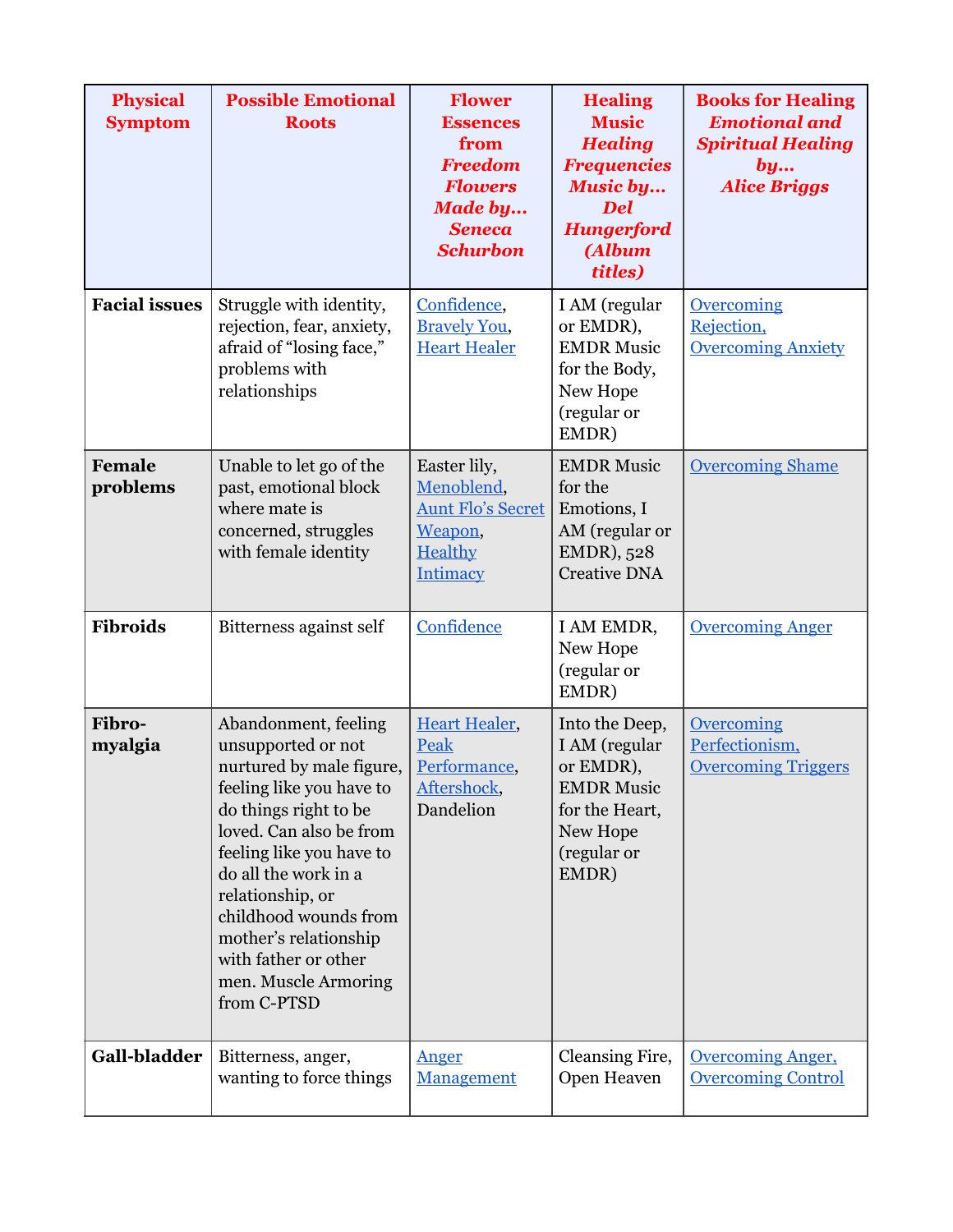| <b>Physical</b><br><b>Symptom</b> | <b>Possible Emotional</b><br><b>Roots</b>                                                                                                                                                                                                                                                                                                       | <b>Flower</b><br><b>Essences</b><br>from<br><b>Freedom</b><br><b>Flowers</b><br><b>Made by</b><br><b>Seneca</b><br><b>Schurbon</b> | <b>Healing</b><br><b>Music</b><br><b>Healing</b><br><b>Frequencies</b><br><b>Music by</b><br><b>Del</b><br><b>Hungerford</b><br>(Album<br>titles) | <b>Books for Healing</b><br><b>Emotional and</b><br><b>Spiritual Healing</b><br>by<br><b>Alice Briggs</b> |
|-----------------------------------|-------------------------------------------------------------------------------------------------------------------------------------------------------------------------------------------------------------------------------------------------------------------------------------------------------------------------------------------------|------------------------------------------------------------------------------------------------------------------------------------|---------------------------------------------------------------------------------------------------------------------------------------------------|-----------------------------------------------------------------------------------------------------------|
| <b>Facial issues</b>              | Struggle with identity,<br>rejection, fear, anxiety,<br>afraid of "losing face,"<br>problems with<br>relationships                                                                                                                                                                                                                              | Confidence,<br><b>Bravely You,</b><br><b>Heart Healer</b>                                                                          | I AM (regular<br>or EMDR),<br><b>EMDR Music</b><br>for the Body,<br>New Hope<br>(regular or<br>EMDR)                                              | <b>Overcoming</b><br>Rejection,<br><b>Overcoming Anxiety</b>                                              |
| Female<br>problems                | Unable to let go of the<br>past, emotional block<br>where mate is<br>concerned, struggles<br>with female identity                                                                                                                                                                                                                               | Easter lily,<br>Menoblend,<br><b>Aunt Flo's Secret</b><br>Weapon,<br>Healthy<br><b>Intimacy</b>                                    | <b>EMDR Music</b><br>for the<br>Emotions, I<br>AM (regular or<br>EMDR), 528<br><b>Creative DNA</b>                                                | <b>Overcoming Shame</b>                                                                                   |
| <b>Fibroids</b>                   | Bitterness against self                                                                                                                                                                                                                                                                                                                         | Confidence                                                                                                                         | I AM EMDR,<br>New Hope<br>(regular or<br>EMDR)                                                                                                    | <b>Overcoming Anger</b>                                                                                   |
| Fibro-<br>myalgia                 | Abandonment, feeling<br>unsupported or not<br>nurtured by male figure,<br>feeling like you have to<br>do things right to be<br>loved. Can also be from<br>feeling like you have to<br>do all the work in a<br>relationship, or<br>childhood wounds from<br>mother's relationship<br>with father or other<br>men. Muscle Armoring<br>from C-PTSD | <b>Heart Healer,</b><br>Peak<br>Performance,<br>Aftershock,<br>Dandelion                                                           | Into the Deep,<br>I AM (regular<br>or EMDR),<br><b>EMDR Music</b><br>for the Heart,<br>New Hope<br>(regular or<br>EMDR)                           | Overcoming<br>Perfectionism,<br><b>Overcoming Triggers</b>                                                |
| Gall-bladder                      | Bitterness, anger,<br>wanting to force things                                                                                                                                                                                                                                                                                                   | Anger<br><b>Management</b>                                                                                                         | Cleansing Fire,<br>Open Heaven                                                                                                                    | <b>Overcoming Anger,</b><br><b>Overcoming Control</b>                                                     |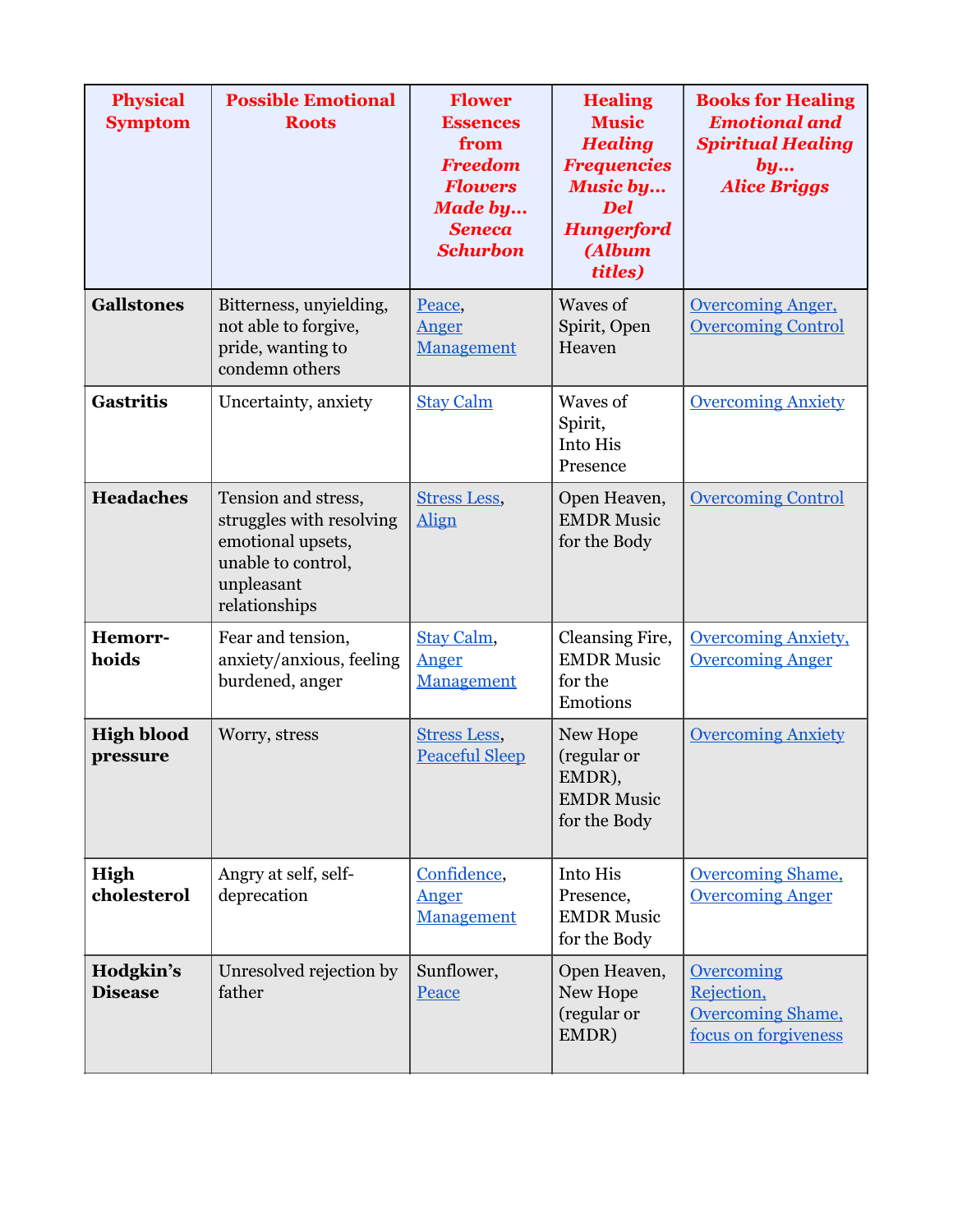| <b>Physical</b><br><b>Symptom</b> | <b>Possible Emotional</b><br><b>Roots</b>                                                                                 | <b>Flower</b><br><b>Essences</b><br>from<br><b>Freedom</b><br><b>Flowers</b><br><b>Made by</b><br><b>Seneca</b><br><b>Schurbon</b> | <b>Healing</b><br><b>Music</b><br><b>Healing</b><br><b>Frequencies</b><br><b>Music by</b><br><b>Del</b><br><b>Hungerford</b><br>(Album<br>titles) | <b>Books for Healing</b><br><b>Emotional and</b><br><b>Spiritual Healing</b><br>by<br><b>Alice Briggs</b> |
|-----------------------------------|---------------------------------------------------------------------------------------------------------------------------|------------------------------------------------------------------------------------------------------------------------------------|---------------------------------------------------------------------------------------------------------------------------------------------------|-----------------------------------------------------------------------------------------------------------|
| <b>Gallstones</b>                 | Bitterness, unyielding,<br>not able to forgive,<br>pride, wanting to<br>condemn others                                    | Peace,<br>Anger<br>Management                                                                                                      | Waves of<br>Spirit, Open<br>Heaven                                                                                                                | <b>Overcoming Anger,</b><br><b>Overcoming Control</b>                                                     |
| <b>Gastritis</b>                  | Uncertainty, anxiety                                                                                                      | <b>Stay Calm</b>                                                                                                                   | Waves of<br>Spirit,<br>Into His<br>Presence                                                                                                       | <b>Overcoming Anxiety</b>                                                                                 |
| <b>Headaches</b>                  | Tension and stress,<br>struggles with resolving<br>emotional upsets,<br>unable to control,<br>unpleasant<br>relationships | <b>Stress Less,</b><br>Align                                                                                                       | Open Heaven,<br><b>EMDR Music</b><br>for the Body                                                                                                 | <b>Overcoming Control</b>                                                                                 |
| Hemorr-<br>hoids                  | Fear and tension,<br>anxiety/anxious, feeling<br>burdened, anger                                                          | Stay Calm,<br>Anger<br>Management                                                                                                  | Cleansing Fire,<br><b>EMDR Music</b><br>for the<br>Emotions                                                                                       | Overcoming Anxiety,<br><b>Overcoming Anger</b>                                                            |
| <b>High blood</b><br>pressure     | Worry, stress                                                                                                             | <b>Stress Less,</b><br><b>Peaceful Sleep</b>                                                                                       | New Hope<br>(regular or<br>EMDR),<br><b>EMDR Music</b><br>for the Body                                                                            | <b>Overcoming Anxiety</b>                                                                                 |
| High<br>cholesterol               | Angry at self, self-<br>deprecation                                                                                       | Confidence,<br>Anger<br>Management                                                                                                 | Into His<br>Presence,<br><b>EMDR Music</b><br>for the Body                                                                                        | <b>Overcoming Shame,</b><br><b>Overcoming Anger</b>                                                       |
| Hodgkin's<br><b>Disease</b>       | Unresolved rejection by<br>father                                                                                         | Sunflower,<br>Peace                                                                                                                | Open Heaven,<br>New Hope<br>(regular or<br>EMDR)                                                                                                  | <b>Overcoming</b><br>Rejection,<br><b>Overcoming Shame,</b><br>focus on forgiveness                       |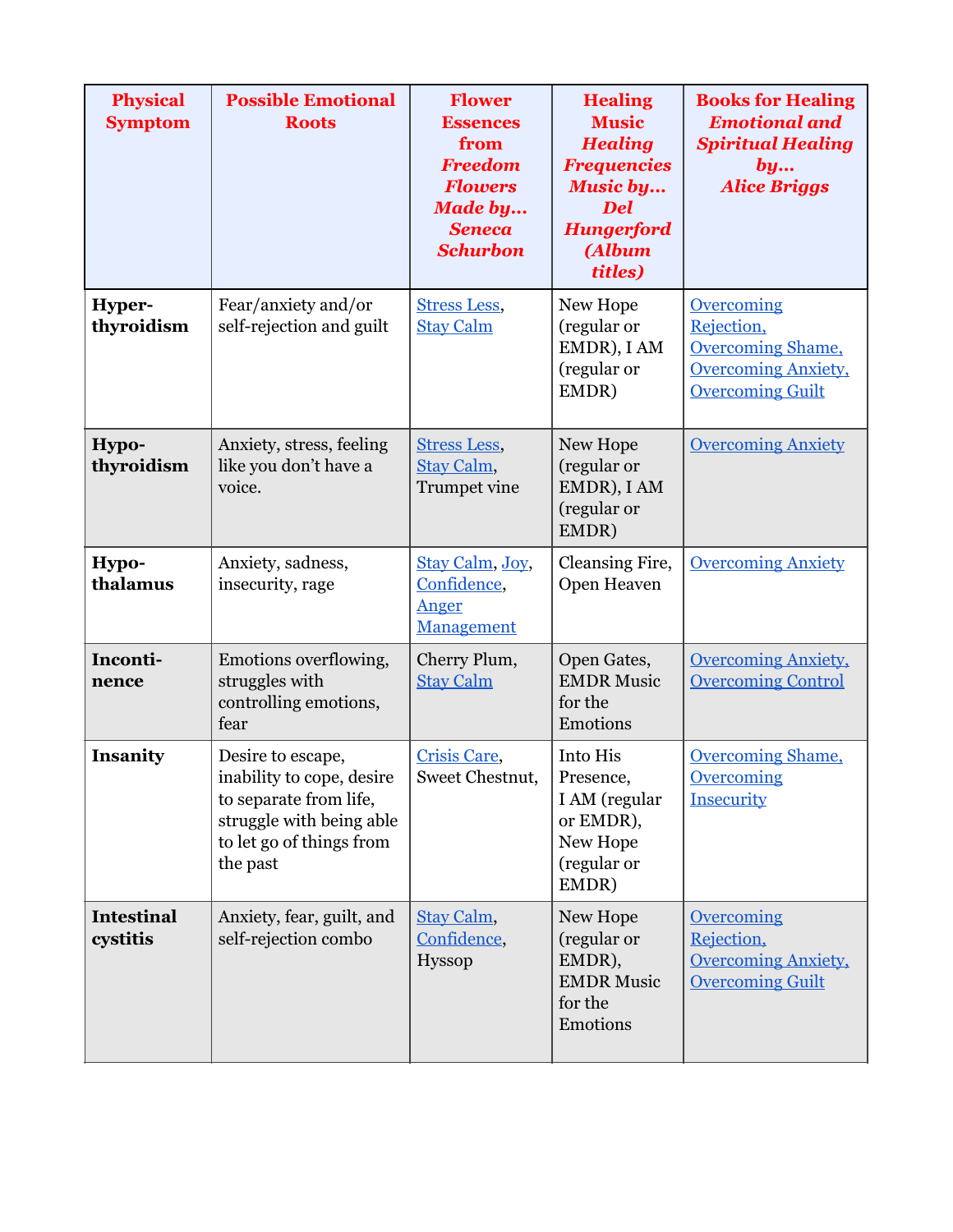| <b>Physical</b><br><b>Symptom</b> | <b>Possible Emotional</b><br><b>Roots</b>                                                                                                    | <b>Flower</b><br><b>Essences</b><br>from<br><b>Freedom</b><br><b>Flowers</b><br><b>Made by</b><br><b>Seneca</b><br><b>Schurbon</b> | <b>Healing</b><br><b>Music</b><br><b>Healing</b><br><b>Frequencies</b><br><b>Music by</b><br><b>Del</b><br><b>Hungerford</b><br>(Album<br>titles) | <b>Books for Healing</b><br><b>Emotional and</b><br><b>Spiritual Healing</b><br>by<br><b>Alice Briggs</b>            |
|-----------------------------------|----------------------------------------------------------------------------------------------------------------------------------------------|------------------------------------------------------------------------------------------------------------------------------------|---------------------------------------------------------------------------------------------------------------------------------------------------|----------------------------------------------------------------------------------------------------------------------|
| Hyper-<br>thyroidism              | Fear/anxiety and/or<br>self-rejection and guilt                                                                                              | <b>Stress Less,</b><br><b>Stay Calm</b>                                                                                            | New Hope<br>(regular or<br>EMDR), I AM<br>(regular or<br>EMDR)                                                                                    | <b>Overcoming</b><br>Rejection,<br><b>Overcoming Shame,</b><br><b>Overcoming Anxiety,</b><br><b>Overcoming Guilt</b> |
| Hypo-<br>thyroidism               | Anxiety, stress, feeling<br>like you don't have a<br>voice.                                                                                  | <b>Stress Less,</b><br>Stay Calm,<br>Trumpet vine                                                                                  | New Hope<br>(regular or<br>EMDR), I AM<br>(regular or<br>EMDR)                                                                                    | <b>Overcoming Anxiety</b>                                                                                            |
| Hypo-<br>thalamus                 | Anxiety, sadness,<br>insecurity, rage                                                                                                        | Stay Calm, Joy,<br>Confidence,<br>Anger<br>Management                                                                              | Cleansing Fire,<br>Open Heaven                                                                                                                    | <b>Overcoming Anxiety</b>                                                                                            |
| Inconti-<br>nence                 | Emotions overflowing,<br>struggles with<br>controlling emotions,<br>fear                                                                     | Cherry Plum,<br><b>Stay Calm</b>                                                                                                   | Open Gates,<br><b>EMDR Music</b><br>for the<br>Emotions                                                                                           | <b>Overcoming Anxiety,</b><br><b>Overcoming Control</b>                                                              |
| Insanity                          | Desire to escape,<br>inability to cope, desire<br>to separate from life,<br>struggle with being able<br>to let go of things from<br>the past | Crisis Care,<br>Sweet Chestnut,                                                                                                    | Into His<br>Presence,<br>I AM (regular<br>or EMDR),<br>New Hope<br>(regular or<br>EMDR)                                                           | <b>Overcoming Shame,</b><br><b>Overcoming</b><br>Insecurity                                                          |
| <b>Intestinal</b><br>cystitis     | Anxiety, fear, guilt, and<br>self-rejection combo                                                                                            | Stay Calm,<br>Confidence,<br><b>Hyssop</b>                                                                                         | New Hope<br>(regular or<br>EMDR),<br><b>EMDR Music</b><br>for the<br>Emotions                                                                     | Overcoming<br>Rejection,<br><b>Overcoming Anxiety,</b><br><b>Overcoming Guilt</b>                                    |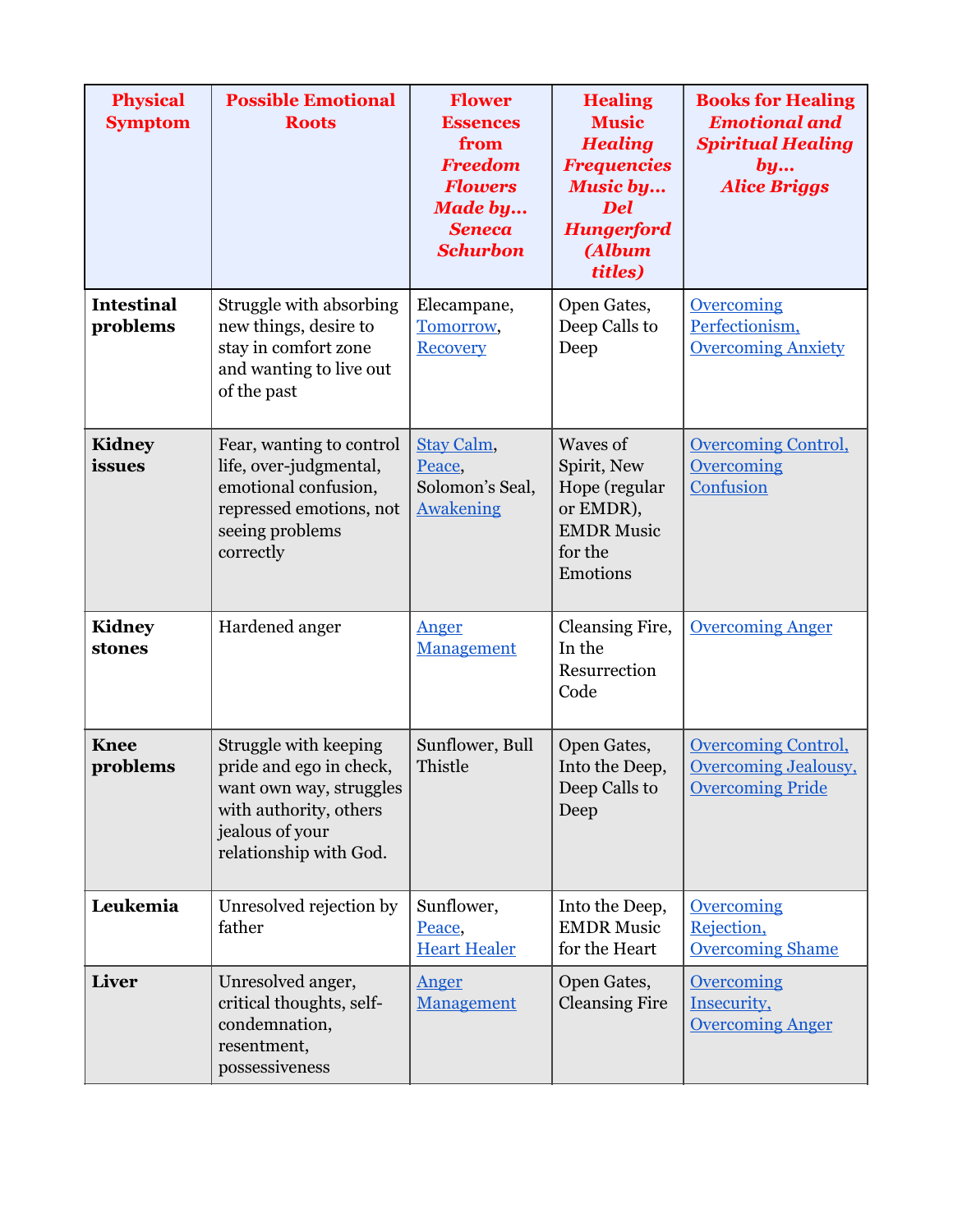| <b>Physical</b><br><b>Symptom</b> | <b>Possible Emotional</b><br><b>Roots</b>                                                                                                          | <b>Flower</b><br><b>Essences</b><br>from<br><b>Freedom</b><br><b>Flowers</b><br><b>Made by</b><br><b>Seneca</b><br><b>Schurbon</b> | <b>Healing</b><br><b>Music</b><br><b>Healing</b><br><b>Frequencies</b><br>Music by<br><b>Del</b><br><b>Hungerford</b><br>(Album<br>titles) | <b>Books for Healing</b><br><b>Emotional and</b><br><b>Spiritual Healing</b><br>by<br><b>Alice Briggs</b> |
|-----------------------------------|----------------------------------------------------------------------------------------------------------------------------------------------------|------------------------------------------------------------------------------------------------------------------------------------|--------------------------------------------------------------------------------------------------------------------------------------------|-----------------------------------------------------------------------------------------------------------|
| <b>Intestinal</b><br>problems     | Struggle with absorbing<br>new things, desire to<br>stay in comfort zone<br>and wanting to live out<br>of the past                                 | Elecampane,<br>Tomorrow,<br><b>Recovery</b>                                                                                        | Open Gates,<br>Deep Calls to<br>Deep                                                                                                       | <b>Overcoming</b><br>Perfectionism,<br><b>Overcoming Anxiety</b>                                          |
| <b>Kidney</b><br>issues           | Fear, wanting to control<br>life, over-judgmental,<br>emotional confusion,<br>repressed emotions, not<br>seeing problems<br>correctly              | Stay Calm,<br>Peace,<br>Solomon's Seal,<br><b>Awakening</b>                                                                        | Waves of<br>Spirit, New<br>Hope (regular<br>or EMDR),<br><b>EMDR Music</b><br>for the<br>Emotions                                          | <b>Overcoming Control,</b><br>Overcoming<br>Confusion                                                     |
| <b>Kidney</b><br>stones           | Hardened anger                                                                                                                                     | Anger<br>Management                                                                                                                | Cleansing Fire,<br>In the<br>Resurrection<br>Code                                                                                          | <b>Overcoming Anger</b>                                                                                   |
| <b>Knee</b><br>problems           | Struggle with keeping<br>pride and ego in check,<br>want own way, struggles<br>with authority, others<br>jealous of your<br>relationship with God. | Sunflower, Bull<br>Thistle                                                                                                         | Open Gates,<br>Into the Deep,<br>Deep Calls to<br>Deep                                                                                     | <b>Overcoming Control,</b><br>Overcoming Jealousy,<br><b>Overcoming Pride</b>                             |
| Leukemia                          | Unresolved rejection by<br>father                                                                                                                  | Sunflower,<br>Peace,<br><b>Heart Healer</b>                                                                                        | Into the Deep,<br><b>EMDR Music</b><br>for the Heart                                                                                       | <b>Overcoming</b><br>Rejection,<br><b>Overcoming Shame</b>                                                |
| Liver                             | Unresolved anger,<br>critical thoughts, self-<br>condemnation,<br>resentment,<br>possessiveness                                                    | Anger<br>Management                                                                                                                | Open Gates,<br><b>Cleansing Fire</b>                                                                                                       | <b>Overcoming</b><br>Insecurity,<br><b>Overcoming Anger</b>                                               |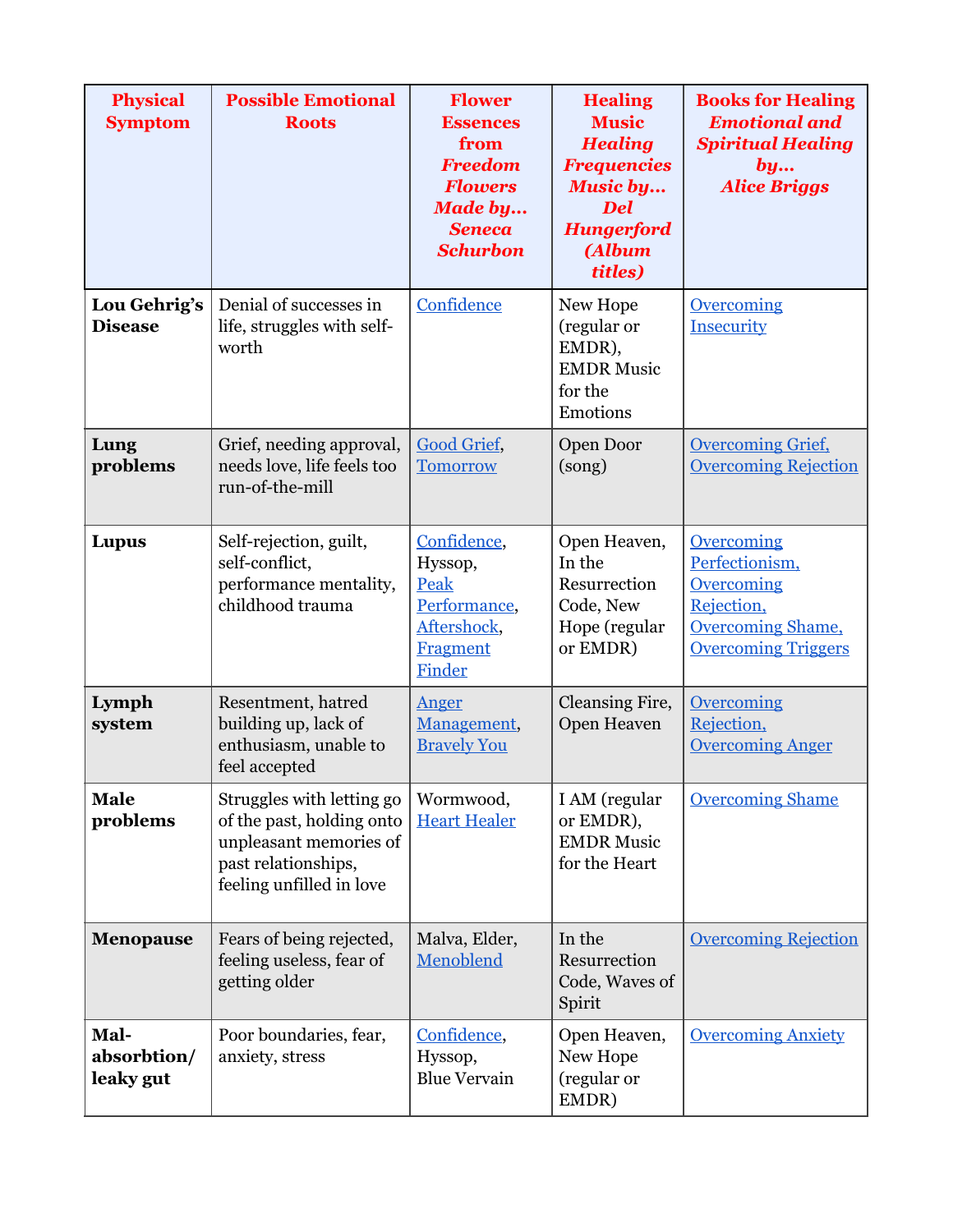| <b>Physical</b><br><b>Symptom</b> | <b>Possible Emotional</b><br><b>Roots</b>                                                                                           | <b>Flower</b><br><b>Essences</b><br>from<br><b>Freedom</b><br><b>Flowers</b><br><b>Made by</b><br><b>Seneca</b><br><b>Schurbon</b> | <b>Healing</b><br><b>Music</b><br><b>Healing</b><br><b>Frequencies</b><br><b>Music by</b><br><b>Del</b><br><b>Hungerford</b><br>(Album<br>titles) | <b>Books for Healing</b><br><b>Emotional and</b><br><b>Spiritual Healing</b><br>by<br><b>Alice Briggs</b>                 |
|-----------------------------------|-------------------------------------------------------------------------------------------------------------------------------------|------------------------------------------------------------------------------------------------------------------------------------|---------------------------------------------------------------------------------------------------------------------------------------------------|---------------------------------------------------------------------------------------------------------------------------|
| Lou Gehrig's<br><b>Disease</b>    | Denial of successes in<br>life, struggles with self-<br>worth                                                                       | Confidence                                                                                                                         | New Hope<br>(regular or<br>EMDR),<br><b>EMDR Music</b><br>for the<br>Emotions                                                                     | <b>Overcoming</b><br>Insecurity                                                                                           |
| Lung<br>problems                  | Grief, needing approval,<br>needs love, life feels too<br>run-of-the-mill                                                           | Good Grief,<br><b>Tomorrow</b>                                                                                                     | Open Door<br>(song)                                                                                                                               | <b>Overcoming Grief,</b><br><b>Overcoming Rejection</b>                                                                   |
| Lupus                             | Self-rejection, guilt,<br>self-conflict,<br>performance mentality,<br>childhood trauma                                              | Confidence,<br>Hyssop,<br>Peak<br>Performance,<br>Aftershock,<br><b>Fragment</b><br>Finder                                         | Open Heaven,<br>In the<br>Resurrection<br>Code, New<br>Hope (regular<br>or EMDR)                                                                  | Overcoming<br>Perfectionism,<br><b>Overcoming</b><br>Rejection,<br><b>Overcoming Shame,</b><br><b>Overcoming Triggers</b> |
| Lymph<br>system                   | Resentment, hatred<br>building up, lack of<br>enthusiasm, unable to<br>feel accepted                                                | Anger<br>Management,<br><b>Bravely You</b>                                                                                         | Cleansing Fire,<br>Open Heaven                                                                                                                    | <b>Overcoming</b><br>Rejection,<br><b>Overcoming Anger</b>                                                                |
| <b>Male</b><br>problems           | Struggles with letting go<br>of the past, holding onto<br>unpleasant memories of<br>past relationships,<br>feeling unfilled in love | Wormwood,<br><b>Heart Healer</b>                                                                                                   | I AM (regular<br>or EMDR),<br><b>EMDR Music</b><br>for the Heart                                                                                  | <b>Overcoming Shame</b>                                                                                                   |
| <b>Menopause</b>                  | Fears of being rejected,<br>feeling useless, fear of<br>getting older                                                               | Malva, Elder,<br>Menoblend                                                                                                         | In the<br>Resurrection<br>Code, Waves of<br>Spirit                                                                                                | <b>Overcoming Rejection</b>                                                                                               |
| Mal-<br>absorbtion/<br>leaky gut  | Poor boundaries, fear,<br>anxiety, stress                                                                                           | Confidence,<br>Hyssop,<br><b>Blue Vervain</b>                                                                                      | Open Heaven,<br>New Hope<br>(regular or<br>EMDR)                                                                                                  | <b>Overcoming Anxiety</b>                                                                                                 |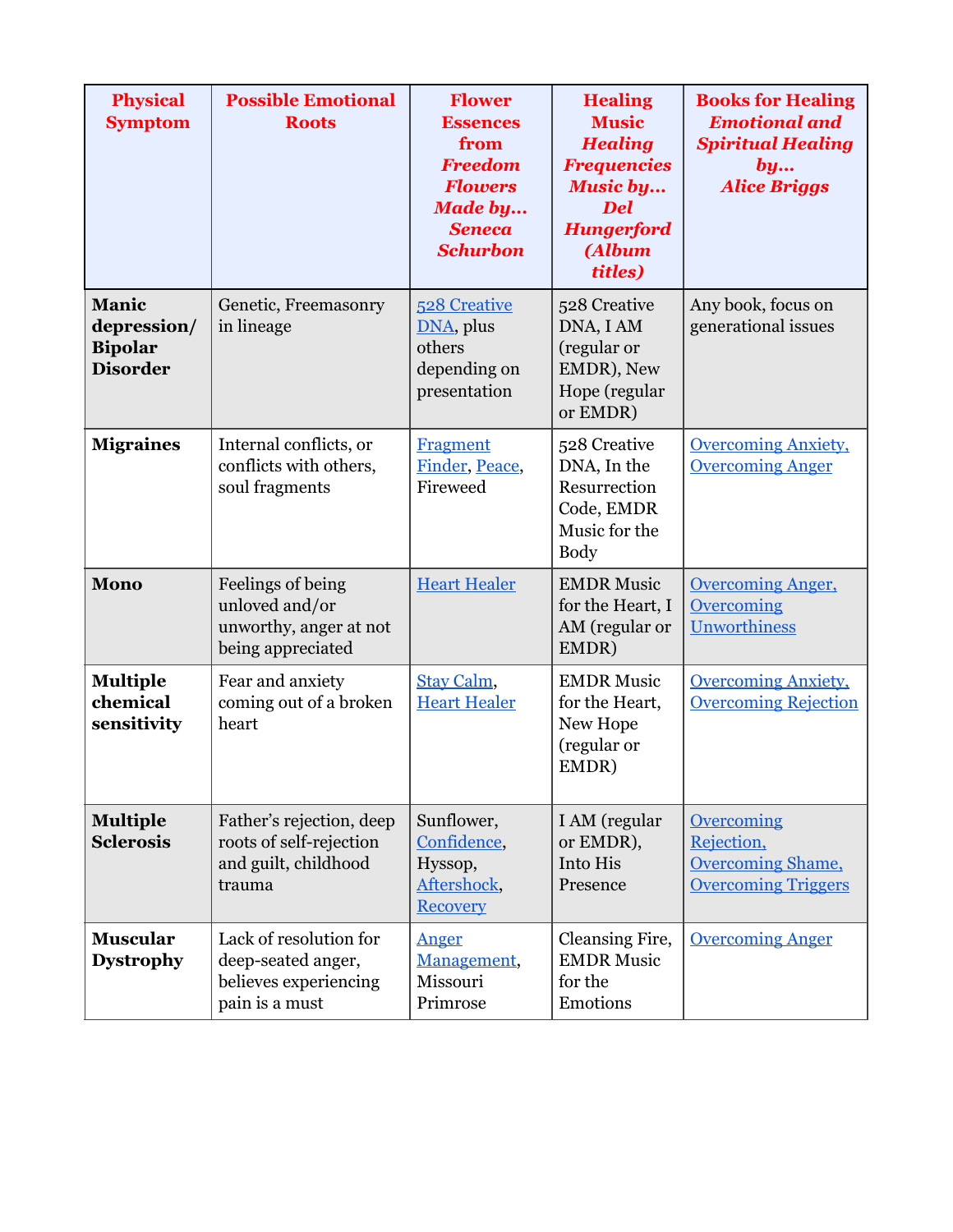| <b>Physical</b><br><b>Symptom</b>                         | <b>Possible Emotional</b><br><b>Roots</b>                                               | <b>Flower</b><br><b>Essences</b><br>from<br><b>Freedom</b><br><b>Flowers</b><br><b>Made by</b><br><b>Seneca</b><br><b>Schurbon</b> | <b>Healing</b><br><b>Music</b><br><b>Healing</b><br><b>Frequencies</b><br><b>Music by</b><br><b>Del</b><br><b>Hungerford</b><br>(Album<br>titles) | <b>Books for Healing</b><br><b>Emotional and</b><br><b>Spiritual Healing</b><br>by<br><b>Alice Briggs</b> |
|-----------------------------------------------------------|-----------------------------------------------------------------------------------------|------------------------------------------------------------------------------------------------------------------------------------|---------------------------------------------------------------------------------------------------------------------------------------------------|-----------------------------------------------------------------------------------------------------------|
| Manic<br>depression/<br><b>Bipolar</b><br><b>Disorder</b> | Genetic, Freemasonry<br>in lineage                                                      | 528 Creative<br>DNA, plus<br>others<br>depending on<br>presentation                                                                | 528 Creative<br>DNA, I AM<br>(regular or<br>EMDR), New<br>Hope (regular<br>or EMDR)                                                               | Any book, focus on<br>generational issues                                                                 |
| <b>Migraines</b>                                          | Internal conflicts, or<br>conflicts with others,<br>soul fragments                      | <b>Fragment</b><br>Finder, Peace,<br>Fireweed                                                                                      | 528 Creative<br>DNA, In the<br>Resurrection<br>Code, EMDR<br>Music for the<br><b>Body</b>                                                         | <b>Overcoming Anxiety,</b><br><b>Overcoming Anger</b>                                                     |
| <b>Mono</b>                                               | Feelings of being<br>unloved and/or<br>unworthy, anger at not<br>being appreciated      | <b>Heart Healer</b>                                                                                                                | <b>EMDR Music</b><br>for the Heart, I<br>AM (regular or<br>EMDR)                                                                                  | <b>Overcoming Anger,</b><br>Overcoming<br><b>Unworthiness</b>                                             |
| <b>Multiple</b><br>chemical<br>sensitivity                | Fear and anxiety<br>coming out of a broken<br>heart                                     | Stay Calm,<br><b>Heart Healer</b>                                                                                                  | <b>EMDR Music</b><br>for the Heart,<br>New Hope<br>(regular or<br>EMDR)                                                                           | <b>Overcoming Anxiety,</b><br><b>Overcoming Rejection</b>                                                 |
| <b>Multiple</b><br><b>Sclerosis</b>                       | Father's rejection, deep<br>roots of self-rejection<br>and guilt, childhood<br>trauma   | Sunflower,<br>Confidence,<br>Hyssop,<br>Aftershock,<br><b>Recovery</b>                                                             | I AM (regular<br>or EMDR),<br>Into His<br>Presence                                                                                                | Overcoming<br>Rejection,<br><b>Overcoming Shame,</b><br><b>Overcoming Triggers</b>                        |
| <b>Muscular</b><br><b>Dystrophy</b>                       | Lack of resolution for<br>deep-seated anger,<br>believes experiencing<br>pain is a must | Anger<br>Management,<br>Missouri<br>Primrose                                                                                       | Cleansing Fire,<br><b>EMDR Music</b><br>for the<br>Emotions                                                                                       | <b>Overcoming Anger</b>                                                                                   |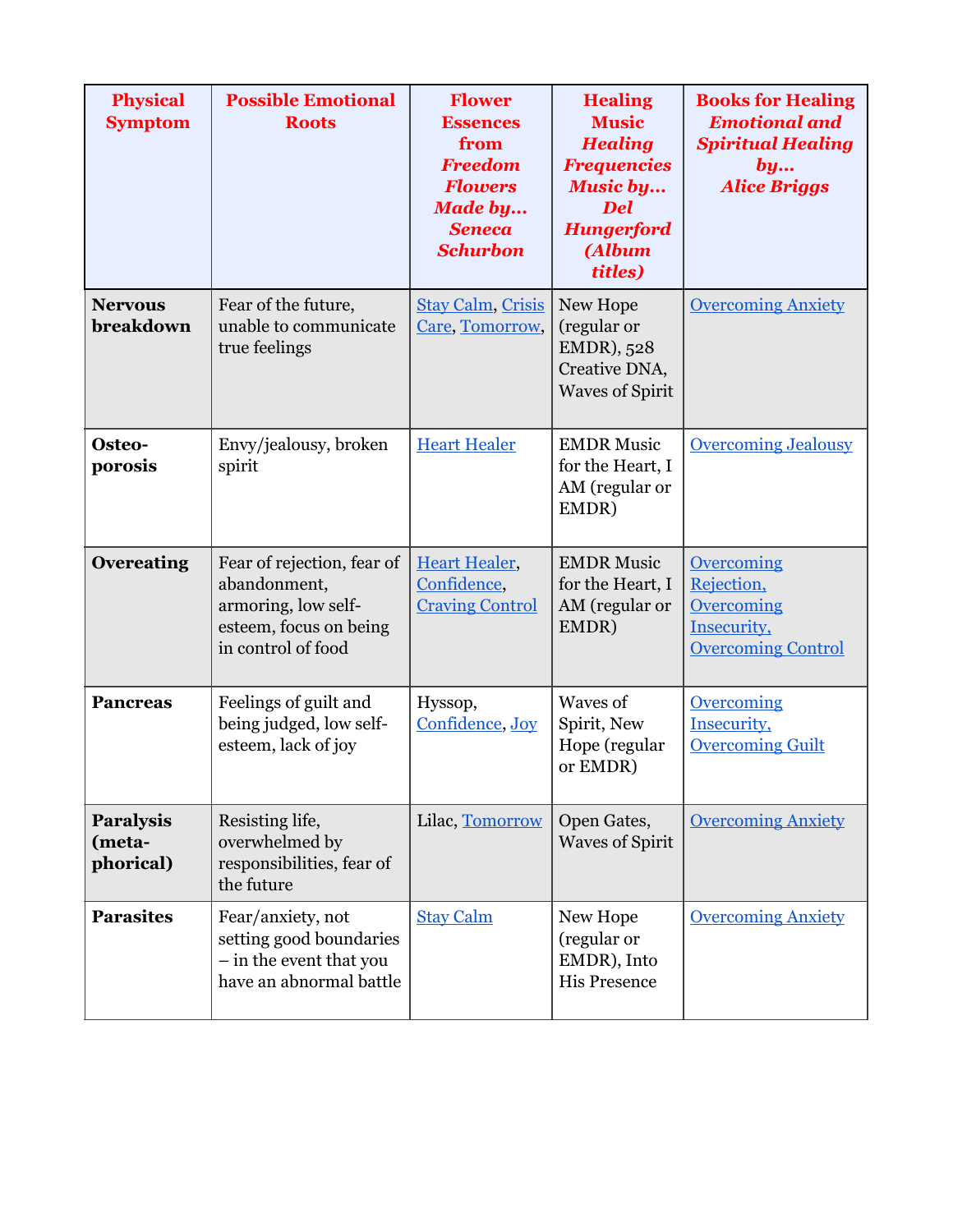| <b>Physical</b><br><b>Symptom</b>       | <b>Possible Emotional</b><br><b>Roots</b>                                                                         | <b>Flower</b><br><b>Essences</b><br>from<br><b>Freedom</b><br><b>Flowers</b><br><b>Made by</b><br><b>Seneca</b><br><b>Schurbon</b> | <b>Healing</b><br><b>Music</b><br><b>Healing</b><br><b>Frequencies</b><br><b>Music by</b><br><b>Del</b><br><b>Hungerford</b><br><b>(Album</b><br>titles) | <b>Books for Healing</b><br><b>Emotional and</b><br><b>Spiritual Healing</b><br>by<br><b>Alice Briggs</b> |
|-----------------------------------------|-------------------------------------------------------------------------------------------------------------------|------------------------------------------------------------------------------------------------------------------------------------|----------------------------------------------------------------------------------------------------------------------------------------------------------|-----------------------------------------------------------------------------------------------------------|
| <b>Nervous</b><br>breakdown             | Fear of the future,<br>unable to communicate<br>true feelings                                                     | <b>Stay Calm, Crisis</b><br>Care, Tomorrow,                                                                                        | New Hope<br>(regular or<br>EMDR), 528<br>Creative DNA,<br><b>Waves of Spirit</b>                                                                         | <b>Overcoming Anxiety</b>                                                                                 |
| Osteo-<br>porosis                       | Envy/jealousy, broken<br>spirit                                                                                   | <b>Heart Healer</b>                                                                                                                | <b>EMDR Music</b><br>for the Heart, I<br>AM (regular or<br>EMDR)                                                                                         | <b>Overcoming Jealousy</b>                                                                                |
| <b>Overeating</b>                       | Fear of rejection, fear of<br>abandonment,<br>armoring, low self-<br>esteem, focus on being<br>in control of food | <b>Heart Healer,</b><br>Confidence,<br><b>Craving Control</b>                                                                      | <b>EMDR Music</b><br>for the Heart, I<br>AM (regular or<br>EMDR)                                                                                         | Overcoming<br>Rejection,<br>Overcoming<br>Insecurity,<br><b>Overcoming Control</b>                        |
| <b>Pancreas</b>                         | Feelings of guilt and<br>being judged, low self-<br>esteem, lack of joy                                           | Hyssop,<br>Confidence, Joy                                                                                                         | Waves of<br>Spirit, New<br>Hope (regular<br>or EMDR)                                                                                                     | Overcoming<br>Insecurity,<br><b>Overcoming Guilt</b>                                                      |
| <b>Paralysis</b><br>(meta-<br>phorical) | Resisting life,<br>overwhelmed by<br>responsibilities, fear of<br>the future                                      | Lilac, Tomorrow                                                                                                                    | Open Gates,<br><b>Waves of Spirit</b>                                                                                                                    | <b>Overcoming Anxiety</b>                                                                                 |
| <b>Parasites</b>                        | Fear/anxiety, not<br>setting good boundaries<br>- in the event that you<br>have an abnormal battle                | <b>Stay Calm</b>                                                                                                                   | New Hope<br>(regular or<br>EMDR), Into<br><b>His Presence</b>                                                                                            | <b>Overcoming Anxiety</b>                                                                                 |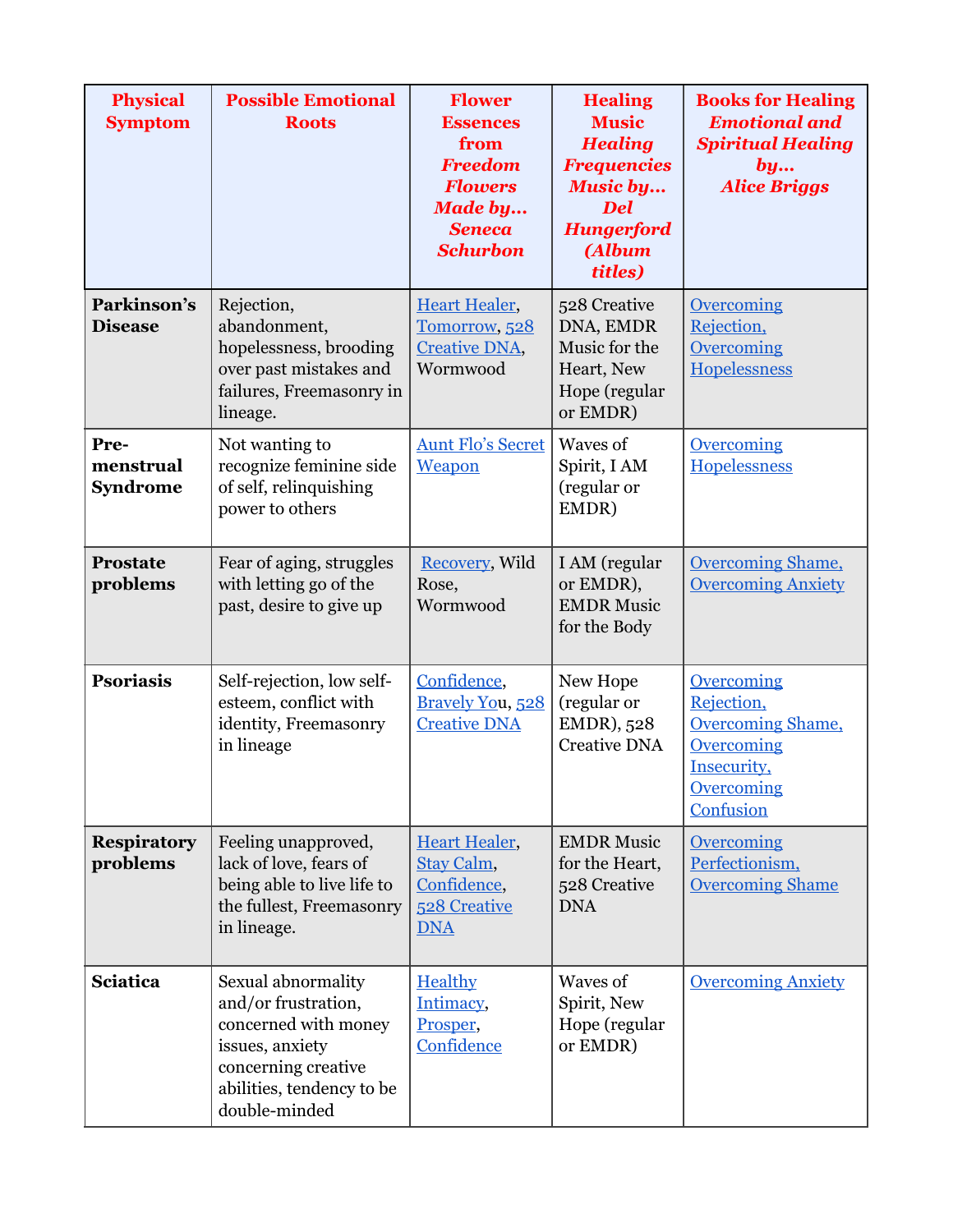| <b>Physical</b><br><b>Symptom</b>    | <b>Possible Emotional</b><br><b>Roots</b>                                                                                                                 | <b>Flower</b><br><b>Essences</b><br>from<br><b>Freedom</b><br><b>Flowers</b><br><b>Made by</b><br><b>Seneca</b><br><b>Schurbon</b> | <b>Healing</b><br><b>Music</b><br><b>Healing</b><br><b>Frequencies</b><br><b>Music by</b><br><b>Del</b><br><b>Hungerford</b><br>(Album<br>titles) | <b>Books for Healing</b><br><b>Emotional and</b><br><b>Spiritual Healing</b><br>by<br><b>Alice Briggs</b>           |
|--------------------------------------|-----------------------------------------------------------------------------------------------------------------------------------------------------------|------------------------------------------------------------------------------------------------------------------------------------|---------------------------------------------------------------------------------------------------------------------------------------------------|---------------------------------------------------------------------------------------------------------------------|
| Parkinson's<br><b>Disease</b>        | Rejection,<br>abandonment,<br>hopelessness, brooding<br>over past mistakes and<br>failures, Freemasonry in<br>lineage.                                    | <b>Heart Healer,</b><br>Tomorrow, 528<br><b>Creative DNA,</b><br>Wormwood                                                          | 528 Creative<br>DNA, EMDR<br>Music for the<br>Heart, New<br>Hope (regular<br>or EMDR)                                                             | <b>Overcoming</b><br>Rejection,<br><b>Overcoming</b><br><b>Hopelessness</b>                                         |
| Pre-<br>menstrual<br><b>Syndrome</b> | Not wanting to<br>recognize feminine side<br>of self, relinquishing<br>power to others                                                                    | <b>Aunt Flo's Secret</b><br>Weapon                                                                                                 | Waves of<br>Spirit, I AM<br>(regular or<br>EMDR)                                                                                                  | <b>Overcoming</b><br>Hopelessness                                                                                   |
| <b>Prostate</b><br>problems          | Fear of aging, struggles<br>with letting go of the<br>past, desire to give up                                                                             | <b>Recovery</b> , Wild<br>Rose,<br>Wormwood                                                                                        | I AM (regular<br>or EMDR),<br><b>EMDR Music</b><br>for the Body                                                                                   | <b>Overcoming Shame,</b><br><b>Overcoming Anxiety</b>                                                               |
| <b>Psoriasis</b>                     | Self-rejection, low self-<br>esteem, conflict with<br>identity, Freemasonry<br>in lineage                                                                 | Confidence,<br>Bravely You, 528<br><b>Creative DNA</b>                                                                             | New Hope<br>(regular or<br>EMDR), 528<br><b>Creative DNA</b>                                                                                      | <b>Overcoming</b><br>Rejection,<br><b>Overcoming Shame,</b><br>Overcoming<br>Insecurity,<br>Overcoming<br>Confusion |
| <b>Respiratory</b><br>problems       | Feeling unapproved,<br>lack of love, fears of<br>being able to live life to<br>the fullest, Freemasonry<br>in lineage.                                    | <b>Heart Healer,</b><br>Stay Calm,<br>Confidence,<br><b>528 Creative</b><br><b>DNA</b>                                             | <b>EMDR Music</b><br>for the Heart,<br>528 Creative<br><b>DNA</b>                                                                                 | Overcoming<br>Perfectionism,<br><b>Overcoming Shame</b>                                                             |
| <b>Sciatica</b>                      | Sexual abnormality<br>and/or frustration,<br>concerned with money<br>issues, anxiety<br>concerning creative<br>abilities, tendency to be<br>double-minded | Healthy<br>Intimacy,<br>Prosper,<br>Confidence                                                                                     | Waves of<br>Spirit, New<br>Hope (regular<br>or EMDR)                                                                                              | <b>Overcoming Anxiety</b>                                                                                           |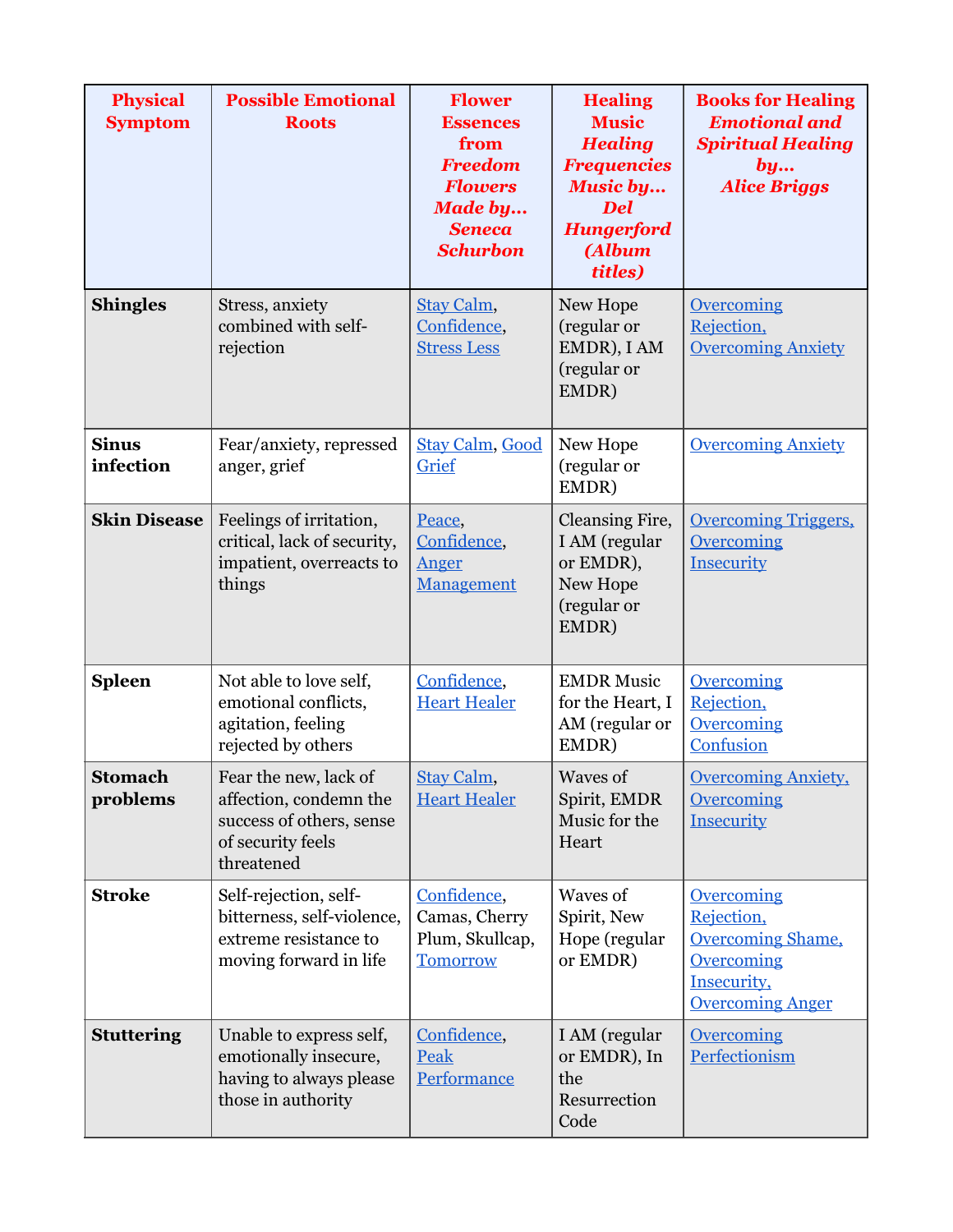| <b>Physical</b><br><b>Symptom</b> | <b>Possible Emotional</b><br><b>Roots</b>                                                                      | <b>Flower</b><br><b>Essences</b><br>from<br><b>Freedom</b><br><b>Flowers</b><br><b>Made by</b><br><b>Seneca</b><br><b>Schurbon</b> | <b>Healing</b><br><b>Music</b><br><b>Healing</b><br><b>Frequencies</b><br><b>Music by</b><br><b>Del</b><br><b>Hungerford</b><br>(Album<br>titles) | <b>Books for Healing</b><br><b>Emotional and</b><br><b>Spiritual Healing</b><br>by<br><b>Alice Briggs</b>           |
|-----------------------------------|----------------------------------------------------------------------------------------------------------------|------------------------------------------------------------------------------------------------------------------------------------|---------------------------------------------------------------------------------------------------------------------------------------------------|---------------------------------------------------------------------------------------------------------------------|
| <b>Shingles</b>                   | Stress, anxiety<br>combined with self-<br>rejection                                                            | Stay Calm,<br>Confidence,<br><b>Stress Less</b>                                                                                    | New Hope<br>(regular or<br>EMDR), I AM<br>(regular or<br>EMDR)                                                                                    | <b>Overcoming</b><br>Rejection,<br><b>Overcoming Anxiety</b>                                                        |
| <b>Sinus</b><br>infection         | Fear/anxiety, repressed<br>anger, grief                                                                        | <b>Stay Calm, Good</b><br>Grief                                                                                                    | New Hope<br>(regular or<br>EMDR)                                                                                                                  | <b>Overcoming Anxiety</b>                                                                                           |
| <b>Skin Disease</b>               | Feelings of irritation,<br>critical, lack of security,<br>impatient, overreacts to<br>things                   | Peace,<br>Confidence,<br>Anger<br>Management                                                                                       | Cleansing Fire,<br>I AM (regular<br>or EMDR),<br>New Hope<br>(regular or<br>EMDR)                                                                 | <b>Overcoming Triggers,</b><br>Overcoming<br>Insecurity                                                             |
| <b>Spleen</b>                     | Not able to love self,<br>emotional conflicts,<br>agitation, feeling<br>rejected by others                     | Confidence,<br><b>Heart Healer</b>                                                                                                 | <b>EMDR Music</b><br>for the Heart, I<br>AM (regular or<br>EMDR)                                                                                  | <b>Overcoming</b><br>Rejection,<br><b>Overcoming</b><br>Confusion                                                   |
| <b>Stomach</b><br>problems        | Fear the new, lack of<br>affection, condemn the<br>success of others, sense<br>of security feels<br>threatened | Stay Calm,<br><b>Heart Healer</b>                                                                                                  | Waves of<br>Spirit, EMDR<br>Music for the<br>Heart                                                                                                | <b>Overcoming Anxiety,</b><br><b>Overcoming</b><br>Insecurity                                                       |
| <b>Stroke</b>                     | Self-rejection, self-<br>bitterness, self-violence,<br>extreme resistance to<br>moving forward in life         | Confidence,<br>Camas, Cherry<br>Plum, Skullcap,<br><b>Tomorrow</b>                                                                 | Waves of<br>Spirit, New<br>Hope (regular<br>or EMDR)                                                                                              | <b>Overcoming</b><br>Rejection,<br><b>Overcoming Shame,</b><br>Overcoming<br>Insecurity,<br><b>Overcoming Anger</b> |
| <b>Stuttering</b>                 | Unable to express self,<br>emotionally insecure,<br>having to always please<br>those in authority              | Confidence,<br>Peak<br>Performance                                                                                                 | I AM (regular<br>or EMDR), In<br>the<br>Resurrection<br>Code                                                                                      | <b>Overcoming</b><br>Perfectionism                                                                                  |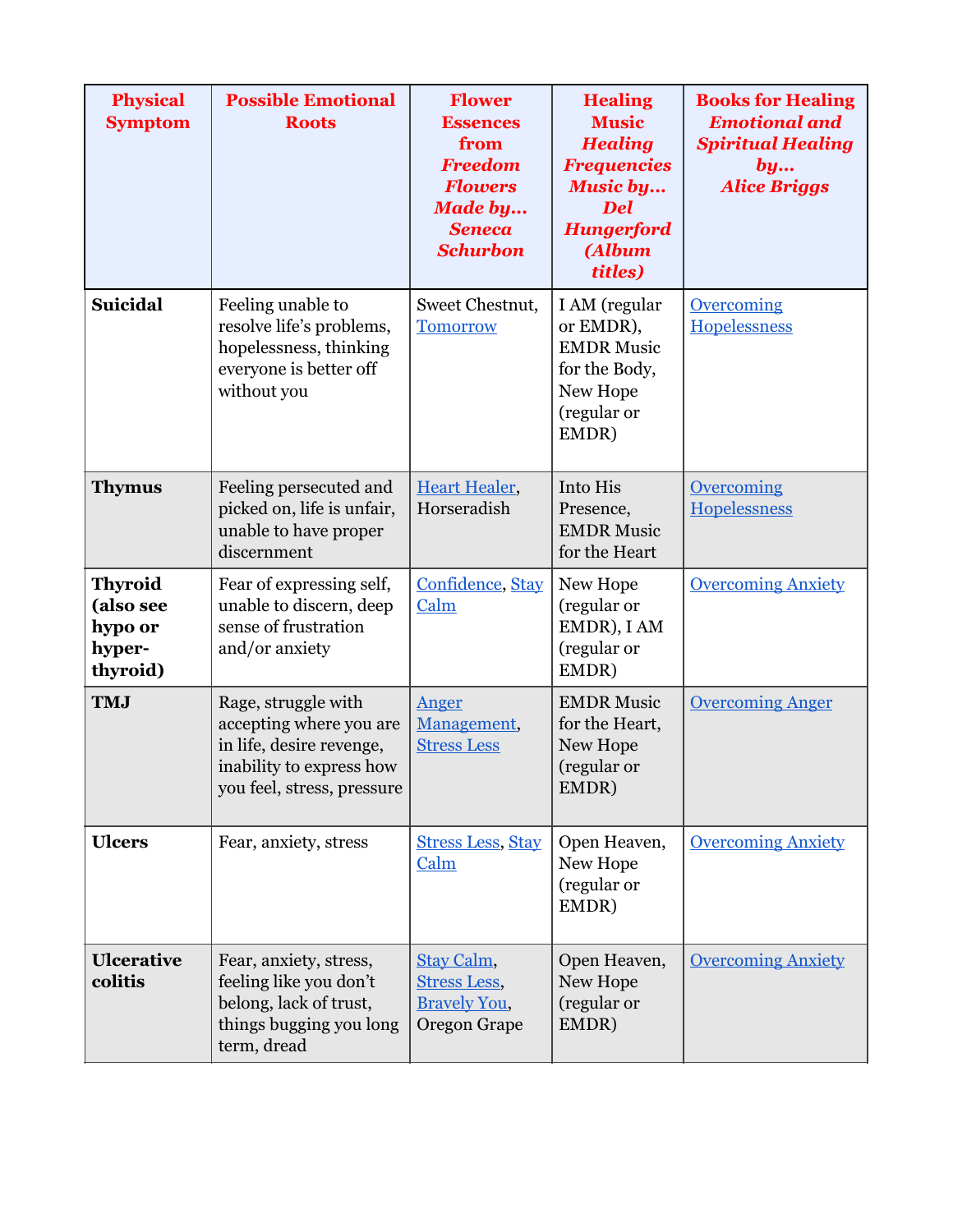| <b>Physical</b><br><b>Symptom</b>                            | <b>Possible Emotional</b><br><b>Roots</b>                                                                                            | <b>Flower</b><br><b>Essences</b><br>from<br><b>Freedom</b><br><b>Flowers</b><br><b>Made by</b><br><b>Seneca</b><br><b>Schurbon</b> | <b>Healing</b><br><b>Music</b><br><b>Healing</b><br><b>Frequencies</b><br><b>Music by</b><br><b>Del</b><br><b>Hungerford</b><br>(Album<br>titles) | <b>Books for Healing</b><br><b>Emotional and</b><br><b>Spiritual Healing</b><br>by<br><b>Alice Briggs</b> |
|--------------------------------------------------------------|--------------------------------------------------------------------------------------------------------------------------------------|------------------------------------------------------------------------------------------------------------------------------------|---------------------------------------------------------------------------------------------------------------------------------------------------|-----------------------------------------------------------------------------------------------------------|
| <b>Suicidal</b>                                              | Feeling unable to<br>resolve life's problems,<br>hopelessness, thinking<br>everyone is better off<br>without you                     | Sweet Chestnut,<br><b>Tomorrow</b>                                                                                                 | I AM (regular<br>or EMDR),<br><b>EMDR Music</b><br>for the Body,<br>New Hope<br>(regular or<br>EMDR)                                              | Overcoming<br><b>Hopelessness</b>                                                                         |
| <b>Thymus</b>                                                | Feeling persecuted and<br>picked on, life is unfair,<br>unable to have proper<br>discernment                                         | <b>Heart Healer,</b><br>Horseradish                                                                                                | Into His<br>Presence,<br><b>EMDR Music</b><br>for the Heart                                                                                       | <b>Overcoming</b><br>Hopelessness                                                                         |
| <b>Thyroid</b><br>(also see<br>hypo or<br>hyper-<br>thyroid) | Fear of expressing self,<br>unable to discern, deep<br>sense of frustration<br>and/or anxiety                                        | Confidence, Stay<br>Calm                                                                                                           | New Hope<br>(regular or<br>EMDR), I AM<br>(regular or<br>EMDR)                                                                                    | <b>Overcoming Anxiety</b>                                                                                 |
| <b>TMJ</b>                                                   | Rage, struggle with<br>accepting where you are<br>in life, desire revenge,<br>inability to express how<br>you feel, stress, pressure | Anger<br>Management,<br><b>Stress Less</b>                                                                                         | <b>EMDR Music</b><br>for the Heart,<br>New Hope<br>(regular or<br>EMDR)                                                                           | <b>Overcoming Anger</b>                                                                                   |
| <b>Ulcers</b>                                                | Fear, anxiety, stress                                                                                                                | <b>Stress Less, Stay</b><br>Calm                                                                                                   | Open Heaven,<br>New Hope<br>(regular or<br>EMDR)                                                                                                  | <b>Overcoming Anxiety</b>                                                                                 |
| <b>Ulcerative</b><br>colitis                                 | Fear, anxiety, stress,<br>feeling like you don't<br>belong, lack of trust,<br>things bugging you long<br>term, dread                 | Stay Calm,<br><b>Stress Less,</b><br><b>Bravely You,</b><br>Oregon Grape                                                           | Open Heaven,<br>New Hope<br>(regular or<br>EMDR)                                                                                                  | <b>Overcoming Anxiety</b>                                                                                 |